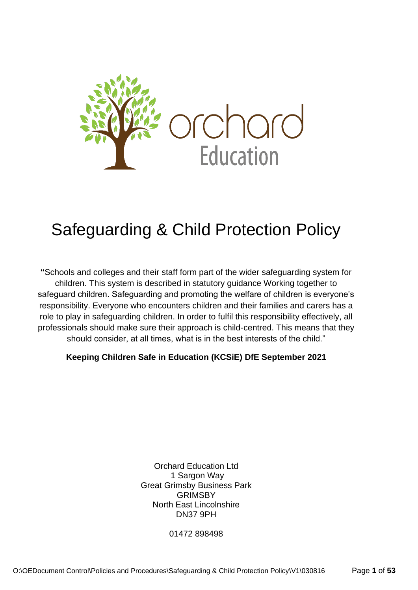

# Safeguarding & Child Protection Policy

**"**Schools and colleges and their staff form part of the wider safeguarding system for children. This system is described in statutory guidance Working together to safeguard children. Safeguarding and promoting the welfare of children is everyone's responsibility. Everyone who encounters children and their families and carers has a role to play in safeguarding children. In order to fulfil this responsibility effectively, all professionals should make sure their approach is child-centred. This means that they should consider, at all times, what is in the best interests of the child."

# **Keeping Children Safe in Education (KCSiE) DfE September 2021**

Orchard Education Ltd 1 Sargon Way Great Grimsby Business Park GRIMSBY North East Lincolnshire DN37 9PH

01472 898498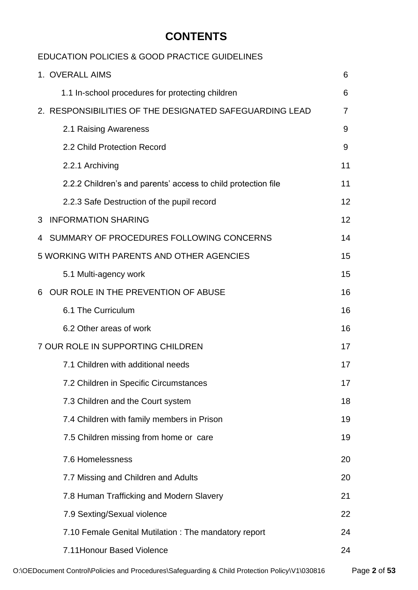# **CONTENTS**

# EDUCATION POLICIES & GOOD PRACTICE GUIDELINES

|   | 1. OVERALL AIMS                                               | 6  |
|---|---------------------------------------------------------------|----|
|   | 1.1 In-school procedures for protecting children              | 6  |
|   | 2. RESPONSIBILITIES OF THE DESIGNATED SAFEGUARDING LEAD       | 7  |
|   | 2.1 Raising Awareness                                         | 9  |
|   | 2.2 Child Protection Record                                   | 9  |
|   | 2.2.1 Archiving                                               | 11 |
|   | 2.2.2 Children's and parents' access to child protection file | 11 |
|   | 2.2.3 Safe Destruction of the pupil record                    | 12 |
| 3 | <b>INFORMATION SHARING</b>                                    | 12 |
| 4 | SUMMARY OF PROCEDURES FOLLOWING CONCERNS                      | 14 |
|   | 5 WORKING WITH PARENTS AND OTHER AGENCIES                     | 15 |
|   | 5.1 Multi-agency work                                         | 15 |
| 6 | OUR ROLE IN THE PREVENTION OF ABUSE                           | 16 |
|   | 6.1 The Curriculum                                            | 16 |
|   | 6.2 Other areas of work                                       | 16 |
|   | 7 OUR ROLE IN SUPPORTING CHILDREN                             | 17 |
|   | 7.1 Children with additional needs                            | 17 |
|   | 7.2 Children in Specific Circumstances                        | 17 |
|   | 7.3 Children and the Court system                             | 18 |
|   | 7.4 Children with family members in Prison                    | 19 |
|   | 7.5 Children missing from home or care                        | 19 |
|   | 7.6 Homelessness                                              | 20 |
|   | 7.7 Missing and Children and Adults                           | 20 |
|   | 7.8 Human Trafficking and Modern Slavery                      | 21 |
|   | 7.9 Sexting/Sexual violence                                   | 22 |
|   | 7.10 Female Genital Mutilation: The mandatory report          | 24 |
|   | 7.11 Honour Based Violence                                    | 24 |

O:\OEDocument Control\Policies and Procedures\Safeguarding & Child Protection Policy\V1\030816 Page **2** of **53**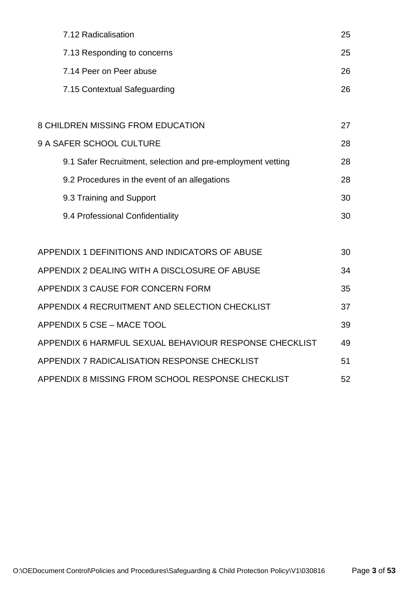| 7.12 Radicalisation                                         | 25 |
|-------------------------------------------------------------|----|
| 7.13 Responding to concerns                                 | 25 |
| 7.14 Peer on Peer abuse                                     | 26 |
| 7.15 Contextual Safeguarding                                | 26 |
|                                                             |    |
| <b>8 CHILDREN MISSING FROM EDUCATION</b>                    | 27 |
| 9 A SAFER SCHOOL CULTURE                                    | 28 |
| 9.1 Safer Recruitment, selection and pre-employment vetting | 28 |
| 9.2 Procedures in the event of an allegations               | 28 |
| 9.3 Training and Support                                    | 30 |
| 9.4 Professional Confidentiality                            | 30 |
|                                                             |    |
| APPENDIX 1 DEFINITIONS AND INDICATORS OF ABUSE              | 30 |
| APPENDIX 2 DEALING WITH A DISCLOSURE OF ABUSE               | 34 |
| APPENDIX 3 CAUSE FOR CONCERN FORM                           | 35 |
| APPENDIX 4 RECRUITMENT AND SELECTION CHECKLIST              | 37 |
| APPENDIX 5 CSE - MACE TOOL                                  | 39 |
| APPENDIX 6 HARMFUL SEXUAL BEHAVIOUR RESPONSE CHECKLIST      | 49 |
| APPENDIX 7 RADICALISATION RESPONSE CHECKLIST                | 51 |
| APPENDIX 8 MISSING FROM SCHOOL RESPONSE CHECKLIST           | 52 |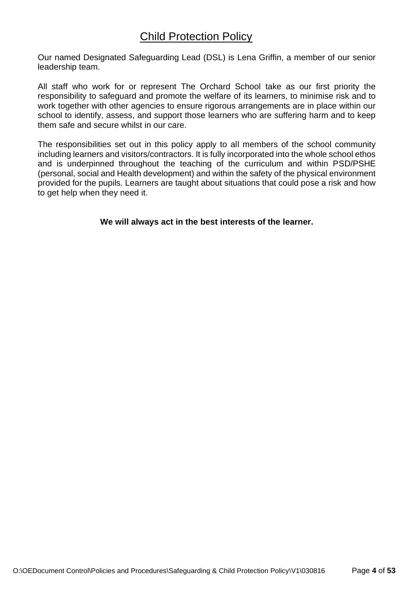# Child Protection Policy

Our named Designated Safeguarding Lead (DSL) is Lena Griffin, a member of our senior leadership team.

All staff who work for or represent The Orchard School take as our first priority the responsibility to safeguard and promote the welfare of its learners, to minimise risk and to work together with other agencies to ensure rigorous arrangements are in place within our school to identify, assess, and support those learners who are suffering harm and to keep them safe and secure whilst in our care.

The responsibilities set out in this policy apply to all members of the school community including learners and visitors/contractors. It is fully incorporated into the whole school ethos and is underpinned throughout the teaching of the curriculum and within PSD/PSHE (personal, social and Health development) and within the safety of the physical environment provided for the pupils. Learners are taught about situations that could pose a risk and how to get help when they need it.

**We will always act in the best interests of the learner.**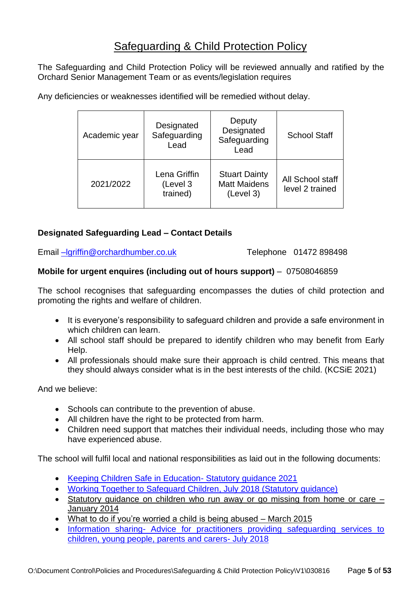# Safeguarding & Child Protection Policy

The Safeguarding and Child Protection Policy will be reviewed annually and ratified by the Orchard Senior Management Team or as events/legislation requires

Any deficiencies or weaknesses identified will be remedied without delay.

| Academic year | Designated<br>Safeguarding<br>Lead   | Deputy<br>Designated<br>Safeguarding<br>Lead             | <b>School Staff</b>                 |
|---------------|--------------------------------------|----------------------------------------------------------|-------------------------------------|
| 2021/2022     | Lena Griffin<br>(Level 3<br>trained) | <b>Stuart Dainty</b><br><b>Matt Maidens</b><br>(Level 3) | All School staff<br>level 2 trained |

# **Designated Safeguarding Lead – Contact Details**

Email [–lgriffin@orchardhumber.co.uk](mailto:–lgriffin@orchardhumber.co.uk) Telephone 01472 898498

#### **Mobile for urgent enquires (including out of hours support)** – 07508046859

The school recognises that safeguarding encompasses the duties of child protection and promoting the rights and welfare of children.

- It is everyone's responsibility to safeguard children and provide a safe environment in which children can learn.
- All school staff should be prepared to identify children who may benefit from Early Help.
- All professionals should make sure their approach is child centred. This means that they should always consider what is in the best interests of the child. (KCSiE 2021)

And we believe:

- Schools can contribute to the prevention of abuse.
- All children have the right to be protected from harm.
- Children need support that matches their individual needs, including those who may have experienced abuse.

The school will fulfil local and national responsibilities as laid out in the following documents:

- [Keeping Children Safe in Education-](https://assets.publishing.service.gov.uk/government/uploads/system/uploads/attachment_data/file/1014057/KCSIE_2021_September.pdf) Statutory guidance 2021
- [Working Together to Safeguard Children, July 2018 \(Statutory guidance\)](https://assets.publishing.service.gov.uk/government/uploads/system/uploads/attachment_data/file/942454/Working_together_to_safeguard_children_inter_agency_guidance.pdf)
- Statutory quidance on children who run away or go missing from home or care [January 2014](https://www.gov.uk/government/uploads/system/uploads/attachment_data/file/307867/Statutory_Guidance_-_Missing_from_care__3_.pdf)
- [What to do if you're worried a child is being abused –](https://www.gov.uk/government/uploads/system/uploads/attachment_data/file/419604/What_to_do_if_you_re_worried_a_child_is_being_abused.pdf) March 2015
- Information sharing- [Advice for practitioners providing safeguarding services to](https://assets.publishing.service.gov.uk/government/uploads/system/uploads/attachment_data/file/721581/Information_sharing_advice_practitioners_safeguarding_services.pdf)  [children, young people, parents and carers-](https://assets.publishing.service.gov.uk/government/uploads/system/uploads/attachment_data/file/721581/Information_sharing_advice_practitioners_safeguarding_services.pdf) July 2018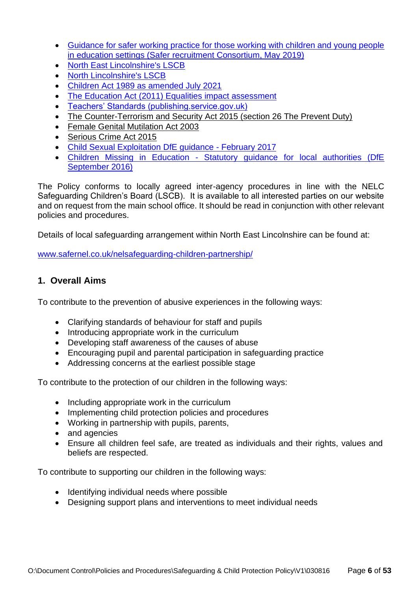- [Guidance for safer working practice for those working with children and young people](https://c-cluster-110.uploads.documents.cimpress.io/v1/uploads/13ecce28-e8f2-49e9-83c6-c29337cd8071~110/original?tenant=vbu-digital)  [in education settings \(Safer recruitment Consortium, May 2019\)](https://c-cluster-110.uploads.documents.cimpress.io/v1/uploads/13ecce28-e8f2-49e9-83c6-c29337cd8071~110/original?tenant=vbu-digital)
- [North East Lincolnshire's LSCB](https://www.safernel.co.uk/)
- [North Lincolnshire's LSCB](http://www.northlincslscb.co.uk/wp-content/uploads/2016/09/LSCB-Business-Plan-2017-18.pdf)
- [Children Act 1989 as amended July 2021](https://assets.publishing.service.gov.uk/government/uploads/system/uploads/attachment_data/file/1000549/The_Children_Act_1989_guidance_and_regulations_Volume_2_care_planning__placement_and_case_review.pdf)
- [The Education Act \(2011\) Equalities impact assessment](https://www.gov.uk/government/publications/the-education-act-2011-equalities-impact-assessment)
- [Teachers' Standards \(publishing.service.gov.uk\)](https://assets.publishing.service.gov.uk/government/uploads/system/uploads/attachment_data/file/1007716/Teachers__Standards_2021_update.pdf)
- [The Counter-Terrorism and Security Act 2015 \(section 26 The Prevent Duty\)](http://www.legislation.gov.uk/ukdsi/2015/9780111133309/pdfs/ukdsiod_9780111133309_en.pdf)
- [Female Genital Mutilation Act 2003](http://www.legislation.gov.uk/ukpga/2003/31/pdfs/ukpga_20030031_en.pdf)
- [Serious Crime Act 2015](http://www.legislation.gov.uk/ukpga/2015/9/pdfs/ukpga_20150009_en.pdf)
- [Child Sexual Exploitation DfE guidance -](https://assets.publishing.service.gov.uk/government/uploads/system/uploads/attachment_data/file/591903/CSE_Guidance_Core_Document_13.02.2017.pdf) February 2017
- Children Missing in Education [Statutory guidance for local authorities \(DfE](https://assets.publishing.service.gov.uk/government/uploads/system/uploads/attachment_data/file/550416/Children_Missing_Education_-_statutory_guidance.pdf)  [September 2016\)](https://assets.publishing.service.gov.uk/government/uploads/system/uploads/attachment_data/file/550416/Children_Missing_Education_-_statutory_guidance.pdf)

The Policy conforms to locally agreed inter-agency procedures in line with the NELC Safeguarding Children's Board (LSCB). It is available to all interested parties on our website and on request from the main school office. It should be read in conjunction with other relevant policies and procedures.

Details of local safeguarding arrangement within North East Lincolnshire can be found at:

[www.safernel.co.uk/nelsafeguarding-children-partnership/](http://www.safernel.co.uk/nelsafeguarding-children-partnership/)

# **1. Overall Aims**

To contribute to the prevention of abusive experiences in the following ways:

- Clarifying standards of behaviour for staff and pupils
- Introducing appropriate work in the curriculum
- Developing staff awareness of the causes of abuse
- Encouraging pupil and parental participation in safeguarding practice
- Addressing concerns at the earliest possible stage

To contribute to the protection of our children in the following ways:

- Including appropriate work in the curriculum
- Implementing child protection policies and procedures
- Working in partnership with pupils, parents,
- and agencies
- Ensure all children feel safe, are treated as individuals and their rights, values and beliefs are respected.

To contribute to supporting our children in the following ways:

- Identifying individual needs where possible
- Designing support plans and interventions to meet individual needs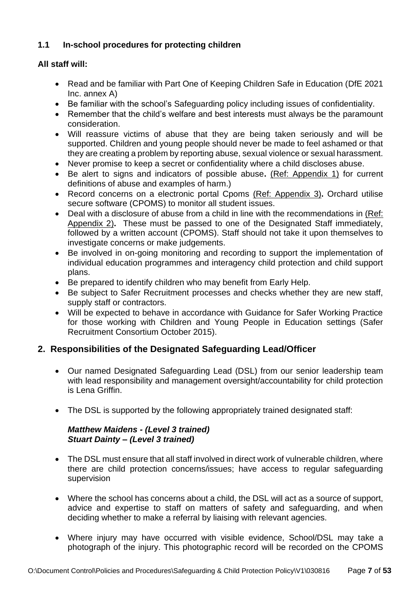# **1.1 In-school procedures for protecting children**

# **All staff will:**

- Read and be familiar with Part One of Keeping Children Safe in Education (DfE 2021 Inc. annex A)
- Be familiar with the school's Safeguarding policy including issues of confidentiality.
- Remember that the child's welfare and best interests must always be the paramount consideration.
- Will reassure victims of abuse that they are being taken seriously and will be supported. Children and young people should never be made to feel ashamed or that they are creating a problem by reporting abuse, sexual violence or sexual harassment.
- Never promise to keep a secret or confidentiality where a child discloses abuse.
- Be alert to signs and indicators of possible abuse**.** (Ref: Appendix 1) for current definitions of abuse and examples of harm.)
- Record concerns on a electronic portal Cpoms [\(Ref: Appendix 3\)](#page-34-0)**.** Orchard utilise secure software (CPOMS) to monitor all student issues.
- Deal with a disclosure of abuse from a child in line with the recommendations in (Ref: [Appendix 2\)](#page-33-0)**.** These must be passed to one of the Designated Staff immediately, followed by a written account (CPOMS). Staff should not take it upon themselves to investigate concerns or make judgements.
- Be involved in on-going monitoring and recording to support the implementation of individual education programmes and interagency child protection and child support plans.
- Be prepared to identify children who may benefit from Early Help.
- Be subject to Safer Recruitment processes and checks whether they are new staff, supply staff or contractors.
- Will be expected to behave in accordance with Guidance for Safer Working Practice for those working with Children and Young People in Education settings (Safer Recruitment Consortium October 2015).

# **2. Responsibilities of the Designated Safeguarding Lead/Officer**

- Our named Designated Safeguarding Lead (DSL) from our senior leadership team with lead responsibility and management oversight/accountability for child protection is Lena Griffin.
- The DSL is supported by the following appropriately trained designated staff:

# *Matthew Maidens - (Level 3 trained) Stuart Dainty – (Level 3 trained)*

- The DSL must ensure that all staff involved in direct work of vulnerable children, where there are child protection concerns/issues; have access to regular safeguarding supervision
- Where the school has concerns about a child, the DSL will act as a source of support, advice and expertise to staff on matters of safety and safeguarding, and when deciding whether to make a referral by liaising with relevant agencies.
- Where injury may have occurred with visible evidence, School/DSL may take a photograph of the injury. This photographic record will be recorded on the CPOMS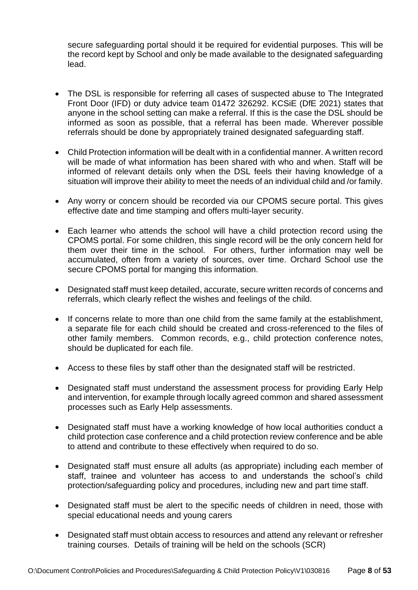secure safeguarding portal should it be required for evidential purposes. This will be the record kept by School and only be made available to the designated safeguarding lead.

- The DSL is responsible for referring all cases of suspected abuse to The Integrated Front Door (IFD) or duty advice team 01472 326292. KCSiE (DfE 2021) states that anyone in the school setting can make a referral. If this is the case the DSL should be informed as soon as possible, that a referral has been made. Wherever possible referrals should be done by appropriately trained designated safeguarding staff.
- Child Protection information will be dealt with in a confidential manner. A written record will be made of what information has been shared with who and when. Staff will be informed of relevant details only when the DSL feels their having knowledge of a situation will improve their ability to meet the needs of an individual child and /or family.
- Any worry or concern should be recorded via our CPOMS secure portal. This gives effective date and time stamping and offers multi-layer security.
- Each learner who attends the school will have a child protection record using the CPOMS portal. For some children, this single record will be the only concern held for them over their time in the school. For others, further information may well be accumulated, often from a variety of sources, over time. Orchard School use the secure CPOMS portal for manging this information.
- Designated staff must keep detailed, accurate, secure written records of concerns and referrals, which clearly reflect the wishes and feelings of the child.
- If concerns relate to more than one child from the same family at the establishment, a separate file for each child should be created and cross-referenced to the files of other family members. Common records, e.g., child protection conference notes, should be duplicated for each file.
- Access to these files by staff other than the designated staff will be restricted.
- Designated staff must understand the assessment process for providing Early Help and intervention, for example through locally agreed common and shared assessment processes such as Early Help assessments.
- Designated staff must have a working knowledge of how local authorities conduct a child protection case conference and a child protection review conference and be able to attend and contribute to these effectively when required to do so.
- Designated staff must ensure all adults (as appropriate) including each member of staff, trainee and volunteer has access to and understands the school's child protection/safeguarding policy and procedures, including new and part time staff.
- Designated staff must be alert to the specific needs of children in need, those with special educational needs and young carers
- Designated staff must obtain access to resources and attend any relevant or refresher training courses. Details of training will be held on the schools (SCR)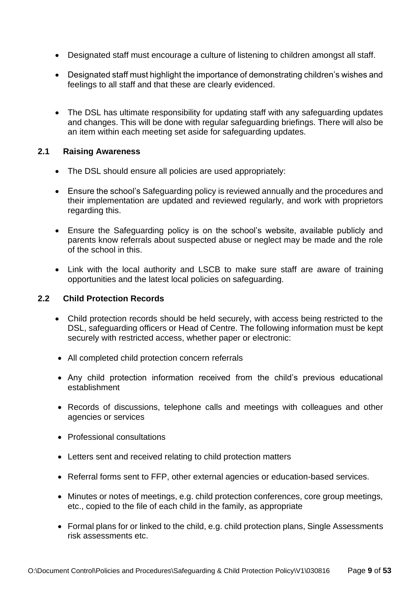- Designated staff must encourage a culture of listening to children amongst all staff.
- Designated staff must highlight the importance of demonstrating children's wishes and feelings to all staff and that these are clearly evidenced.
- The DSL has ultimate responsibility for updating staff with any safeguarding updates and changes. This will be done with regular safeguarding briefings. There will also be an item within each meeting set aside for safeguarding updates.

#### **2.1 Raising Awareness**

- The DSL should ensure all policies are used appropriately:
- Ensure the school's Safeguarding policy is reviewed annually and the procedures and their implementation are updated and reviewed regularly, and work with proprietors regarding this.
- Ensure the Safeguarding policy is on the school's website, available publicly and parents know referrals about suspected abuse or neglect may be made and the role of the school in this.
- Link with the local authority and LSCB to make sure staff are aware of training opportunities and the latest local policies on safeguarding.

#### **2.2 Child Protection Records**

- Child protection records should be held securely, with access being restricted to the DSL, safeguarding officers or Head of Centre. The following information must be kept securely with restricted access, whether paper or electronic:
- All completed child protection concern referrals
- Any child protection information received from the child's previous educational establishment
- Records of discussions, telephone calls and meetings with colleagues and other agencies or services
- Professional consultations
- Letters sent and received relating to child protection matters
- Referral forms sent to FFP, other external agencies or education-based services.
- Minutes or notes of meetings, e.g. child protection conferences, core group meetings, etc., copied to the file of each child in the family, as appropriate
- Formal plans for or linked to the child, e.g. child protection plans, Single Assessments risk assessments etc.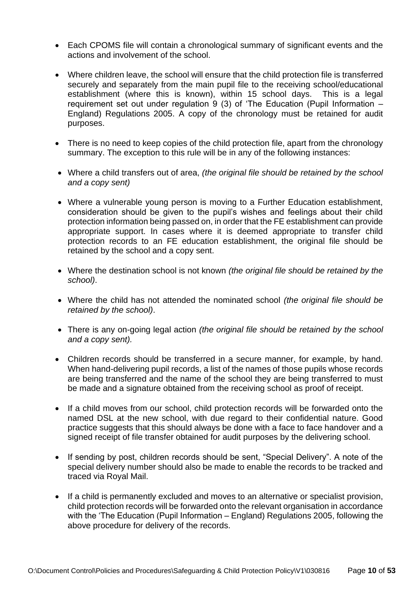- Each CPOMS file will contain a chronological summary of significant events and the actions and involvement of the school.
- Where children leave, the school will ensure that the child protection file is transferred securely and separately from the main pupil file to the receiving school/educational establishment (where this is known), within 15 school days. This is a legal requirement set out under requiation 9 (3) of 'The Education (Pupil Information  $-$ England) Regulations 2005. A copy of the chronology must be retained for audit purposes.
- There is no need to keep copies of the child protection file, apart from the chronology summary. The exception to this rule will be in any of the following instances:
- Where a child transfers out of area, *(the original file should be retained by the school and a copy sent)*
- Where a vulnerable young person is moving to a Further Education establishment, consideration should be given to the pupil's wishes and feelings about their child protection information being passed on, in order that the FE establishment can provide appropriate support. In cases where it is deemed appropriate to transfer child protection records to an FE education establishment, the original file should be retained by the school and a copy sent.
- Where the destination school is not known *(the original file should be retained by the school)*.
- Where the child has not attended the nominated school *(the original file should be retained by the school)*.
- There is any on-going legal action *(the original file should be retained by the school and a copy sent).*
- Children records should be transferred in a secure manner, for example, by hand. When hand-delivering pupil records, a list of the names of those pupils whose records are being transferred and the name of the school they are being transferred to must be made and a signature obtained from the receiving school as proof of receipt.
- If a child moves from our school, child protection records will be forwarded onto the named DSL at the new school, with due regard to their confidential nature. Good practice suggests that this should always be done with a face to face handover and a signed receipt of file transfer obtained for audit purposes by the delivering school.
- If sending by post, children records should be sent, "Special Delivery". A note of the special delivery number should also be made to enable the records to be tracked and traced via Royal Mail.
- If a child is permanently excluded and moves to an alternative or specialist provision, child protection records will be forwarded onto the relevant organisation in accordance with the 'The Education (Pupil Information – England) Regulations 2005, following the above procedure for delivery of the records.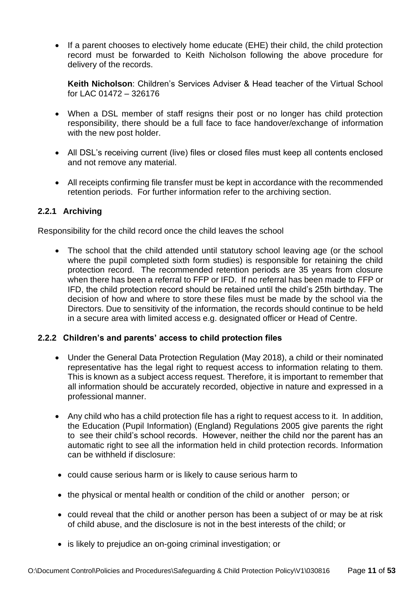• If a parent chooses to electively home educate (EHE) their child, the child protection record must be forwarded to Keith Nicholson following the above procedure for delivery of the records.

**Keith Nicholson**: Children's Services Adviser & Head teacher of the Virtual School for LAC 01472 – 326176

- When a DSL member of staff resigns their post or no longer has child protection responsibility, there should be a full face to face handover/exchange of information with the new post holder.
- All DSL's receiving current (live) files or closed files must keep all contents enclosed and not remove any material.
- All receipts confirming file transfer must be kept in accordance with the recommended retention periods. For further information refer to the archiving section.

# **2.2.1 Archiving**

Responsibility for the child record once the child leaves the school

The school that the child attended until statutory school leaving age (or the school where the pupil completed sixth form studies) is responsible for retaining the child protection record. The recommended retention periods are 35 years from closure when there has been a referral to FFP or IFD. If no referral has been made to FFP or IFD, the child protection record should be retained until the child's 25th birthday. The decision of how and where to store these files must be made by the school via the Directors. Due to sensitivity of the information, the records should continue to be held in a secure area with limited access e.g. designated officer or Head of Centre.

# **2.2.2 Children's and parents' access to child protection files**

- Under the General Data Protection Regulation (May 2018), a child or their nominated representative has the legal right to request access to information relating to them. This is known as a subject access request. Therefore, it is important to remember that all information should be accurately recorded, objective in nature and expressed in a professional manner.
- Any child who has a child protection file has a right to request access to it. In addition, the Education (Pupil Information) (England) Regulations 2005 give parents the right to see their child's school records. However, neither the child nor the parent has an automatic right to see all the information held in child protection records. Information can be withheld if disclosure:
- could cause serious harm or is likely to cause serious harm to
- the physical or mental health or condition of the child or another person; or
- could reveal that the child or another person has been a subject of or may be at risk of child abuse, and the disclosure is not in the best interests of the child; or
- is likely to prejudice an on-going criminal investigation; or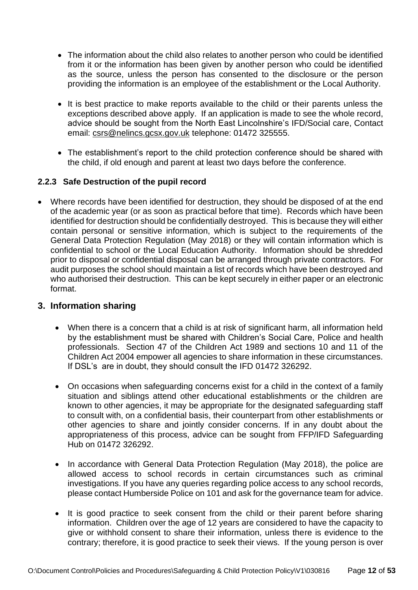- The information about the child also relates to another person who could be identified from it or the information has been given by another person who could be identified as the source, unless the person has consented to the disclosure or the person providing the information is an employee of the establishment or the Local Authority.
- It is best practice to make reports available to the child or their parents unless the exceptions described above apply. If an application is made to see the whole record, advice should be sought from the North East Lincolnshire's IFD/Social care, Contact email: [csrs@nelincs.gcsx.gov.uk](mailto:csrs@nelincs.gcsx.gov.uk) telephone: 01472 325555.
- The establishment's report to the child protection conference should be shared with the child, if old enough and parent at least two days before the conference.

#### **2.2.3 Safe Destruction of the pupil record**

• Where records have been identified for destruction, they should be disposed of at the end of the academic year (or as soon as practical before that time). Records which have been identified for destruction should be confidentially destroyed. This is because they will either contain personal or sensitive information, which is subject to the requirements of the General Data Protection Regulation (May 2018) or they will contain information which is confidential to school or the Local Education Authority. Information should be shredded prior to disposal or confidential disposal can be arranged through private contractors. For audit purposes the school should maintain a list of records which have been destroyed and who authorised their destruction. This can be kept securely in either paper or an electronic format.

#### **3. Information sharing**

- When there is a concern that a child is at risk of significant harm, all information held by the establishment must be shared with Children's Social Care, Police and health professionals. Section 47 of the Children Act 1989 and sections 10 and 11 of the Children Act 2004 empower all agencies to share information in these circumstances. If DSL's are in doubt, they should consult the IFD 01472 326292.
- On occasions when safeguarding concerns exist for a child in the context of a family situation and siblings attend other educational establishments or the children are known to other agencies, it may be appropriate for the designated safeguarding staff to consult with, on a confidential basis, their counterpart from other establishments or other agencies to share and jointly consider concerns. If in any doubt about the appropriateness of this process, advice can be sought from FFP/IFD Safeguarding Hub on 01472 326292.
- In accordance with General Data Protection Regulation (May 2018), the police are allowed access to school records in certain circumstances such as criminal investigations. If you have any queries regarding police access to any school records, please contact Humberside Police on 101 and ask for the governance team for advice.
- It is good practice to seek consent from the child or their parent before sharing information. Children over the age of 12 years are considered to have the capacity to give or withhold consent to share their information, unless there is evidence to the contrary; therefore, it is good practice to seek their views. If the young person is over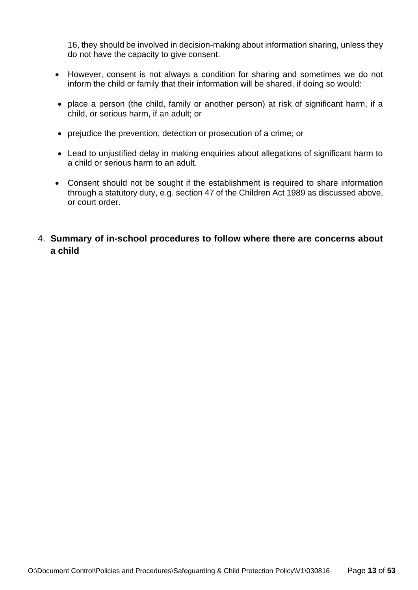16, they should be involved in decision-making about information sharing, unless they do not have the capacity to give consent.

- However, consent is not always a condition for sharing and sometimes we do not inform the child or family that their information will be shared, if doing so would:
- place a person (the child, family or another person) at risk of significant harm, if a child, or serious harm, if an adult; or
- prejudice the prevention, detection or prosecution of a crime; or
- Lead to unjustified delay in making enquiries about allegations of significant harm to a child or serious harm to an adult.
- Consent should not be sought if the establishment is required to share information through a statutory duty, e.g. section 47 of the Children Act 1989 as discussed above, or court order.
- 4. **Summary of in-school procedures to follow where there are concerns about a child**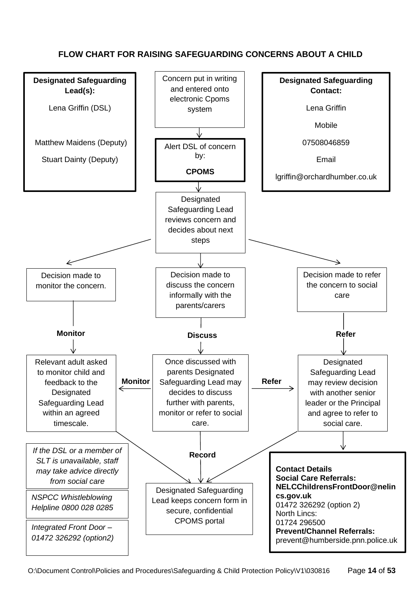# **FLOW CHART FOR RAISING SAFEGUARDING CONCERNS ABOUT A CHILD**

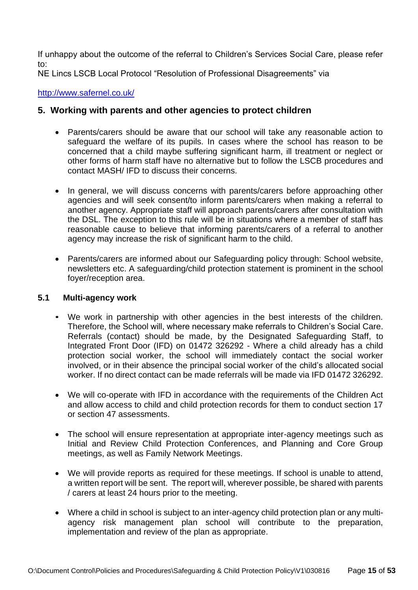If unhappy about the outcome of the referral to Children's Services Social Care, please refer to:

NE Lincs LSCB Local Protocol "Resolution of Professional Disagreements" via

<http://www.safernel.co.uk/>

# **5. Working with parents and other agencies to protect children**

- Parents/carers should be aware that our school will take any reasonable action to safeguard the welfare of its pupils. In cases where the school has reason to be concerned that a child maybe suffering significant harm, ill treatment or neglect or other forms of harm staff have no alternative but to follow the LSCB procedures and contact MASH/ IFD to discuss their concerns.
- In general, we will discuss concerns with parents/carers before approaching other agencies and will seek consent/to inform parents/carers when making a referral to another agency. Appropriate staff will approach parents/carers after consultation with the DSL. The exception to this rule will be in situations where a member of staff has reasonable cause to believe that informing parents/carers of a referral to another agency may increase the risk of significant harm to the child.
- Parents/carers are informed about our Safeguarding policy through: School website, newsletters etc. A safeguarding/child protection statement is prominent in the school foyer/reception area.

#### **5.1 Multi-agency work**

- We work in partnership with other agencies in the best interests of the children. Therefore, the School will, where necessary make referrals to Children's Social Care. Referrals (contact) should be made, by the Designated Safeguarding Staff, to Integrated Front Door (IFD) on 01472 326292 - Where a child already has a child protection social worker, the school will immediately contact the social worker involved, or in their absence the principal social worker of the child's allocated social worker. If no direct contact can be made referrals will be made via IFD 01472 326292.
- We will co-operate with IFD in accordance with the requirements of the Children Act and allow access to child and child protection records for them to conduct section 17 or section 47 assessments.
- The school will ensure representation at appropriate inter-agency meetings such as Initial and Review Child Protection Conferences, and Planning and Core Group meetings, as well as Family Network Meetings.
- We will provide reports as required for these meetings. If school is unable to attend, a written report will be sent. The report will, wherever possible, be shared with parents / carers at least 24 hours prior to the meeting.
- Where a child in school is subject to an inter-agency child protection plan or any multiagency risk management plan school will contribute to the preparation, implementation and review of the plan as appropriate.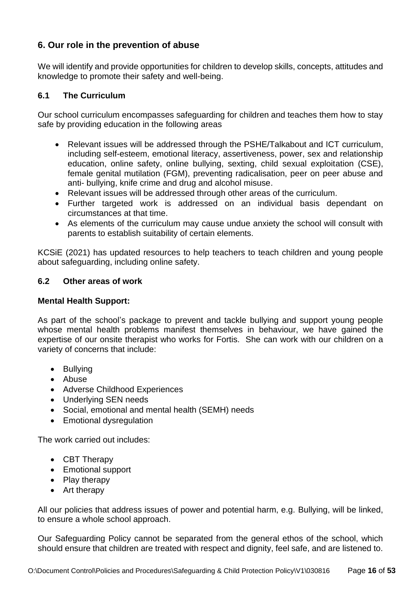# **6. Our role in the prevention of abuse**

We will identify and provide opportunities for children to develop skills, concepts, attitudes and knowledge to promote their safety and well-being.

### **6.1 The Curriculum**

Our school curriculum encompasses safeguarding for children and teaches them how to stay safe by providing education in the following areas

- Relevant issues will be addressed through the PSHE/Talkabout and ICT curriculum, including self-esteem, emotional literacy, assertiveness, power, sex and relationship education, online safety, online bullying, sexting, child sexual exploitation (CSE), female genital mutilation (FGM), preventing radicalisation, peer on peer abuse and anti- bullying, knife crime and drug and alcohol misuse.
- Relevant issues will be addressed through other areas of the curriculum.
- Further targeted work is addressed on an individual basis dependant on circumstances at that time.
- As elements of the curriculum may cause undue anxiety the school will consult with parents to establish suitability of certain elements.

KCSiE (2021) has updated resources to help teachers to teach children and young people about safeguarding, including online safety.

#### **6.2 Other areas of work**

#### **Mental Health Support:**

As part of the school's package to prevent and tackle bullying and support young people whose mental health problems manifest themselves in behaviour, we have gained the expertise of our onsite therapist who works for Fortis. She can work with our children on a variety of concerns that include:

- Bullying
- Abuse
- Adverse Childhood Experiences
- Underlying SEN needs
- Social, emotional and mental health (SEMH) needs
- Emotional dysregulation

The work carried out includes:

- CBT Therapy
- Emotional support
- Play therapy
- Art therapy

All our policies that address issues of power and potential harm, e.g. Bullying, will be linked, to ensure a whole school approach.

Our Safeguarding Policy cannot be separated from the general ethos of the school, which should ensure that children are treated with respect and dignity, feel safe, and are listened to.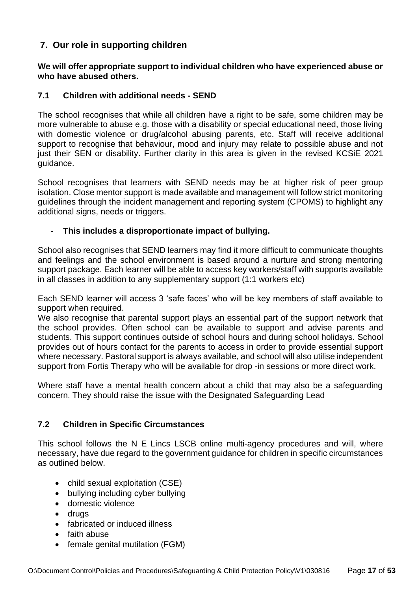# **7. Our role in supporting children**

**We will offer appropriate support to individual children who have experienced abuse or who have abused others.**

#### **7.1 Children with additional needs - SEND**

The school recognises that while all children have a right to be safe, some children may be more vulnerable to abuse e.g. those with a disability or special educational need, those living with domestic violence or drug/alcohol abusing parents, etc. Staff will receive additional support to recognise that behaviour, mood and injury may relate to possible abuse and not just their SEN or disability. Further clarity in this area is given in the revised KCSiE 2021 guidance.

School recognises that learners with SEND needs may be at higher risk of peer group isolation. Close mentor support is made available and management will follow strict monitoring guidelines through the incident management and reporting system (CPOMS) to highlight any additional signs, needs or triggers.

#### - **This includes a disproportionate impact of bullying.**

School also recognises that SEND learners may find it more difficult to communicate thoughts and feelings and the school environment is based around a nurture and strong mentoring support package. Each learner will be able to access key workers/staff with supports available in all classes in addition to any supplementary support (1:1 workers etc)

Each SEND learner will access 3 'safe faces' who will be key members of staff available to support when required.

We also recognise that parental support plays an essential part of the support network that the school provides. Often school can be available to support and advise parents and students. This support continues outside of school hours and during school holidays. School provides out of hours contact for the parents to access in order to provide essential support where necessary. Pastoral support is always available, and school will also utilise independent support from Fortis Therapy who will be available for drop -in sessions or more direct work.

Where staff have a mental health concern about a child that may also be a safeguarding concern. They should raise the issue with the Designated Safeguarding Lead

#### **7.2 Children in Specific Circumstances**

This school follows the N E Lincs LSCB online multi-agency procedures and will, where necessary, have due regard to the government guidance for children in specific circumstances as outlined below.

- child sexual exploitation (CSE)
- bullying including cyber bullying
- domestic violence
- drugs
- fabricated or induced illness
- faith abuse
- female genital mutilation (FGM)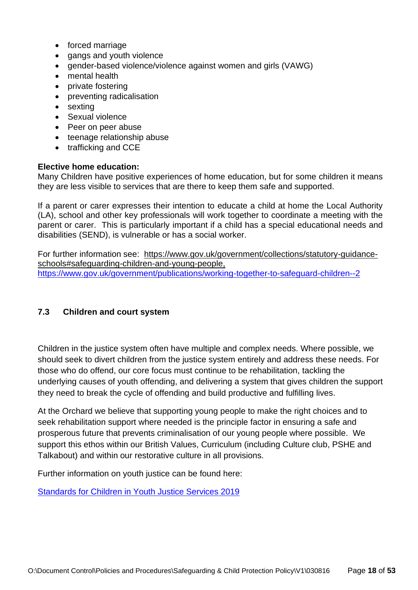- forced marriage
- gangs and youth violence
- gender-based violence/violence against women and girls (VAWG)
- mental health
- private fostering
- preventing radicalisation
- sexting
- Sexual violence
- Peer on peer abuse
- teenage relationship abuse
- trafficking and CCE

#### **Elective home education:**

Many Children have positive experiences of home education, but for some children it means they are less visible to services that are there to keep them safe and supported.

If a parent or carer expresses their intention to educate a child at home the Local Authority (LA), school and other key professionals will work together to coordinate a meeting with the parent or carer. This is particularly important if a child has a special educational needs and disabilities (SEND), is vulnerable or has a social worker.

For further information see: [https://www.gov.uk/government/collections/statutory-guidance](https://www.gov.uk/government/collections/statutory-guidance-schools#safeguarding-children-and-young-people)[schools#safeguarding-children-and-young-people,](https://www.gov.uk/government/collections/statutory-guidance-schools#safeguarding-children-and-young-people) <https://www.gov.uk/government/publications/working-together-to-safeguard-children--2>

# **7.3 Children and court system**

Children in the justice system often have multiple and complex needs. Where possible, we should seek to divert children from the justice system entirely and address these needs. For those who do offend, our core focus must continue to be rehabilitation, tackling the underlying causes of youth offending, and delivering a system that gives children the support they need to break the cycle of offending and build productive and fulfilling lives.

At the Orchard we believe that supporting young people to make the right choices and to seek rehabilitation support where needed is the principle factor in ensuring a safe and prosperous future that prevents criminalisation of our young people where possible. We support this ethos within our British Values, Curriculum (including Culture club, PSHE and Talkabout) and within our restorative culture in all provisions.

Further information on youth justice can be found here:

[Standards for Children in Youth Justice Services 2019](https://assets.publishing.service.gov.uk/government/uploads/system/uploads/attachment_data/file/957697/Standards_for_children_in_youth_justice_services_2019.doc.pdf)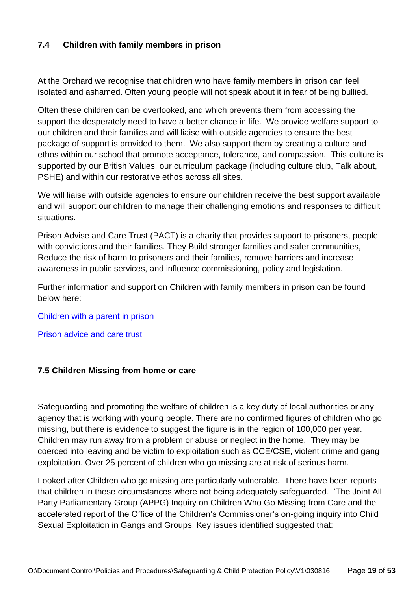### **7.4 Children with family members in prison**

At the Orchard we recognise that children who have family members in prison can feel isolated and ashamed. Often young people will not speak about it in fear of being bullied.

Often these children can be overlooked, and which prevents them from accessing the support the desperately need to have a better chance in life. We provide welfare support to our children and their families and will liaise with outside agencies to ensure the best package of support is provided to them. We also support them by creating a culture and ethos within our school that promote acceptance, tolerance, and compassion. This culture is supported by our British Values, our curriculum package (including culture club, Talk about, PSHE) and within our restorative ethos across all sites.

We will liaise with outside agencies to ensure our children receive the best support available and will support our children to manage their challenging emotions and responses to difficult situations.

Prison Advise and Care Trust (PACT) is a charity that provides support to prisoners, people with convictions and their families. They Build stronger families and safer communities, Reduce the risk of harm to prisoners and their families, remove barriers and increase awareness in public services, and influence commissioning, policy and legislation.

Further information and support on Children with family members in prison can be found below here:

#### [Children with a parent in prison](https://www.barnardos.org.uk/what-we-do/helping-families/children-with-a-parent-in-prison)

[Prison advice and care trust](https://www.prisonadvice.org.uk/)

#### **7.5 Children Missing from home or care**

Safeguarding and promoting the welfare of children is a key duty of local authorities or any agency that is working with young people. There are no confirmed figures of children who go missing, but there is evidence to suggest the figure is in the region of 100,000 per year. Children may run away from a problem or abuse or neglect in the home. They may be coerced into leaving and be victim to exploitation such as CCE/CSE, violent crime and gang exploitation. Over 25 percent of children who go missing are at risk of serious harm.

Looked after Children who go missing are particularly vulnerable. There have been reports that children in these circumstances where not being adequately safeguarded. 'The Joint All Party Parliamentary Group (APPG) Inquiry on Children Who Go Missing from Care and the accelerated report of the Office of the Children's Commissioner's on-going inquiry into Child Sexual Exploitation in Gangs and Groups. Key issues identified suggested that: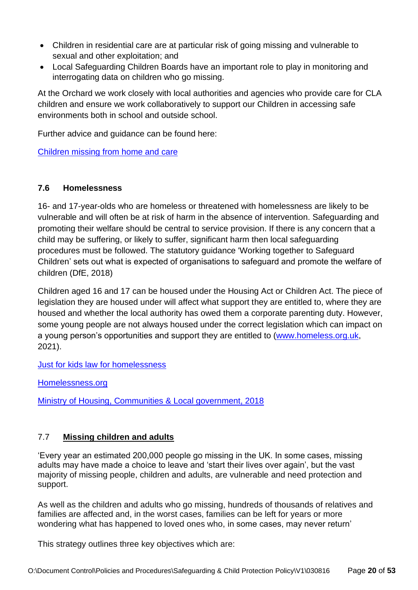- Children in residential care are at particular risk of going missing and vulnerable to sexual and other exploitation; and
- Local Safeguarding Children Boards have an important role to play in monitoring and interrogating data on children who go missing.

At the Orchard we work closely with local authorities and agencies who provide care for CLA children and ensure we work collaboratively to support our Children in accessing safe environments both in school and outside school.

Further advice and guidance can be found here:

[Children missing from home and care](https://assets.publishing.service.gov.uk/government/uploads/system/uploads/attachment_data/file/307867/Statutory_Guidance_-_Missing_from_care__3_.pdf)

# **7.6 Homelessness**

16- and 17-year-olds who are homeless or threatened with homelessness are likely to be vulnerable and will often be at risk of harm in the absence of intervention. Safeguarding and promoting their welfare should be central to service provision. If there is any concern that a child may be suffering, or likely to suffer, significant harm then local safeguarding procedures must be followed. The statutory guidance 'Working together to Safeguard Children' sets out what is expected of organisations to safeguard and promote the welfare of children (DfE, 2018)

Children aged 16 and 17 can be housed under the Housing Act or Children Act. The piece of legislation they are housed under will affect what support they are entitled to, where they are housed and whether the local authority has owed them a corporate parenting duty. However, some young people are not always housed under the correct legislation which can impact on a young person's opportunities and support they are entitled to [\(www.homeless.org.uk,](http://www.homeless.org.uk/) 2021).

[Just for kids law for homelessness](https://www.justforkidslaw.org/what-we-do/fighting-change/campaigning/housing-and-social-care/supporting-homeless-16-and-17-year-olds-guidance-voluntary-and-community-sector-organisations)

[Homelessness.org](https://www.homeless.org.uk/connect/blogs/2021/may/20/new-guidance-published-on-how-to-advocate-for-16-and-17-year-olds-to-get)

[Ministry of Housing, Communities & Local government, 2018](https://assets.publishing.service.gov.uk/government/uploads/system/uploads/attachment_data/file/712467/Provision_of_accommodation_for_16_and_17_year_olds_who_may_be_homeless.pdf)

# 7.7 **Missing children and adults**

'Every year an estimated 200,000 people go missing in the UK. In some cases, missing adults may have made a choice to leave and 'start their lives over again', but the vast majority of missing people, children and adults, are vulnerable and need protection and support.

As well as the children and adults who go missing, hundreds of thousands of relatives and families are affected and, in the worst cases, families can be left for years or more wondering what has happened to loved ones who, in some cases, may never return'

This strategy outlines three key objectives which are: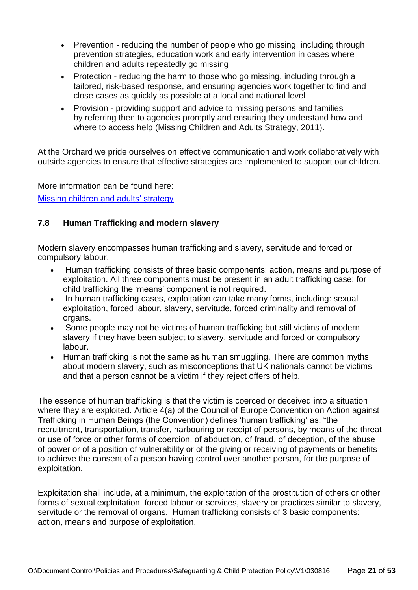- Prevention reducing the number of people who go missing, including through prevention strategies, education work and early intervention in cases where children and adults repeatedly go missing
- Protection reducing the harm to those who go missing, including through a tailored, risk-based response, and ensuring agencies work together to find and close cases as quickly as possible at a local and national level
- Provision providing support and advice to missing persons and families by referring then to agencies promptly and ensuring they understand how and where to access help (Missing Children and Adults Strategy, 2011).

At the Orchard we pride ourselves on effective communication and work collaboratively with outside agencies to ensure that effective strategies are implemented to support our children.

More information can be found here: [Missing children and adults' strategy](https://www.gov.uk/government/publications/missing-children-and-adults-strategy)

# **7.8 Human Trafficking and modern slavery**

Modern slavery encompasses human trafficking and slavery, servitude and forced or compulsory labour.

- Human trafficking consists of three basic components: action, means and purpose of exploitation. All three components must be present in an adult trafficking case; for child trafficking the 'means' component is not required.
- In human trafficking cases, exploitation can take many forms, including: sexual exploitation, forced labour, slavery, servitude, forced criminality and removal of organs.
- Some people may not be victims of human trafficking but still victims of modern slavery if they have been subject to slavery, servitude and forced or compulsory labour.
- Human trafficking is not the same as human smuggling. There are common myths about modern slavery, such as misconceptions that UK nationals cannot be victims and that a person cannot be a victim if they reject offers of help.

The essence of human trafficking is that the victim is coerced or deceived into a situation where they are exploited. Article 4(a) of the Council of Europe Convention on Action against Trafficking in Human Beings (the Convention) defines 'human trafficking' as: "the recruitment, transportation, transfer, harbouring or receipt of persons, by means of the threat or use of force or other forms of coercion, of abduction, of fraud, of deception, of the abuse of power or of a position of vulnerability or of the giving or receiving of payments or benefits to achieve the consent of a person having control over another person, for the purpose of exploitation.

Exploitation shall include, at a minimum, the exploitation of the prostitution of others or other forms of sexual exploitation, forced labour or services, slavery or practices similar to slavery, servitude or the removal of organs. Human trafficking consists of 3 basic components: action, means and purpose of exploitation.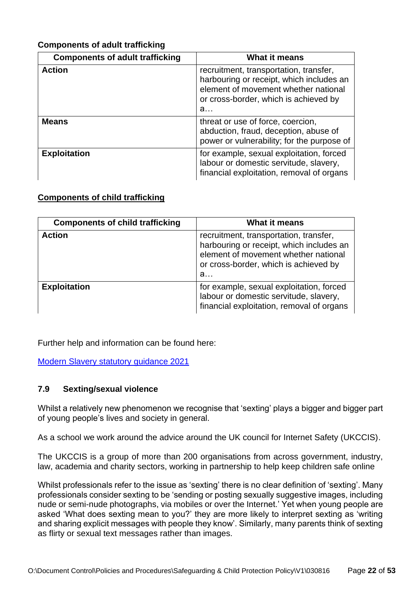### **Components of adult trafficking**

| <b>Components of adult trafficking</b> | What it means                                                                                                                                                            |
|----------------------------------------|--------------------------------------------------------------------------------------------------------------------------------------------------------------------------|
| <b>Action</b>                          | recruitment, transportation, transfer,<br>harbouring or receipt, which includes an<br>element of movement whether national<br>or cross-border, which is achieved by<br>a |
| <b>Means</b>                           | threat or use of force, coercion,<br>abduction, fraud, deception, abuse of<br>power or vulnerability; for the purpose of                                                 |
| <b>Exploitation</b>                    | for example, sexual exploitation, forced<br>labour or domestic servitude, slavery,<br>financial exploitation, removal of organs                                          |

#### **Components of child trafficking**

| <b>Components of child trafficking</b> | What it means                                                                                                                                                            |
|----------------------------------------|--------------------------------------------------------------------------------------------------------------------------------------------------------------------------|
| <b>Action</b>                          | recruitment, transportation, transfer,<br>harbouring or receipt, which includes an<br>element of movement whether national<br>or cross-border, which is achieved by<br>a |
| <b>Exploitation</b>                    | for example, sexual exploitation, forced<br>labour or domestic servitude, slavery,<br>financial exploitation, removal of organs                                          |

Further help and information can be found here:

[Modern Slavery statutory guidance 2021](https://assets.publishing.service.gov.uk/government/uploads/system/uploads/attachment_data/file/1023711/DRAFT_-_Modern_Slavery_Statutory_Guidance__EW__Non-Statutory_Guidance__SNI__v2.4_.pdf)

# **7.9 Sexting/sexual violence**

Whilst a relatively new phenomenon we recognise that 'sexting' plays a bigger and bigger part of young people's lives and society in general.

As a school we work around the advice around the UK council for Internet Safety (UKCCIS).

The UKCCIS is a group of more than 200 organisations from across government, industry, law, academia and charity sectors, working in partnership to help keep children safe online

Whilst professionals refer to the issue as 'sexting' there is no clear definition of 'sexting'. Many professionals consider sexting to be 'sending or posting sexually suggestive images, including nude or semi-nude photographs, via mobiles or over the Internet.' Yet when young people are asked 'What does sexting mean to you?' they are more likely to interpret sexting as 'writing and sharing explicit messages with people they know'. Similarly, many parents think of sexting as flirty or sexual text messages rather than images.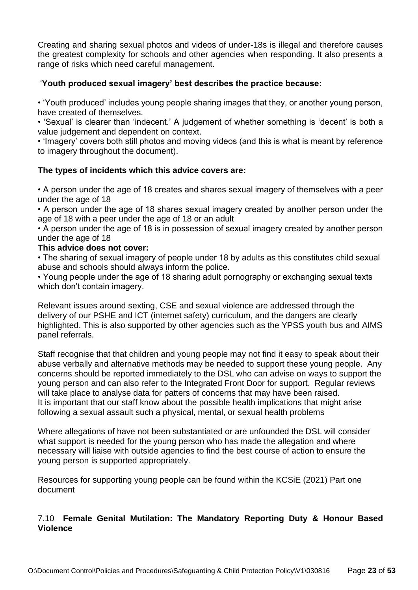Creating and sharing sexual photos and videos of under-18s is illegal and therefore causes the greatest complexity for schools and other agencies when responding. It also presents a range of risks which need careful management.

#### '**Youth produced sexual imagery' best describes the practice because:**

• 'Youth produced' includes young people sharing images that they, or another young person, have created of themselves.

• 'Sexual' is clearer than 'indecent.' A judgement of whether something is 'decent' is both a value judgement and dependent on context.

• 'Imagery' covers both still photos and moving videos (and this is what is meant by reference to imagery throughout the document).

#### **The types of incidents which this advice covers are:**

• A person under the age of 18 creates and shares sexual imagery of themselves with a peer under the age of 18

• A person under the age of 18 shares sexual imagery created by another person under the age of 18 with a peer under the age of 18 or an adult

• A person under the age of 18 is in possession of sexual imagery created by another person under the age of 18

#### **This advice does not cover:**

• The sharing of sexual imagery of people under 18 by adults as this constitutes child sexual abuse and schools should always inform the police.

• Young people under the age of 18 sharing adult pornography or exchanging sexual texts which don't contain imagery.

Relevant issues around sexting, CSE and sexual violence are addressed through the delivery of our PSHE and ICT (internet safety) curriculum, and the dangers are clearly highlighted. This is also supported by other agencies such as the YPSS youth bus and AIMS panel referrals.

Staff recognise that that children and young people may not find it easy to speak about their abuse verbally and alternative methods may be needed to support these young people. Any concerns should be reported immediately to the DSL who can advise on ways to support the young person and can also refer to the Integrated Front Door for support. Regular reviews will take place to analyse data for patters of concerns that may have been raised. It is important that our staff know about the possible health implications that might arise following a sexual assault such a physical, mental, or sexual health problems

Where allegations of have not been substantiated or are unfounded the DSL will consider what support is needed for the young person who has made the allegation and where necessary will liaise with outside agencies to find the best course of action to ensure the young person is supported appropriately.

Resources for supporting young people can be found within the KCSiE (2021) Part one document

#### 7.10 **Female Genital Mutilation: The Mandatory Reporting Duty & Honour Based Violence**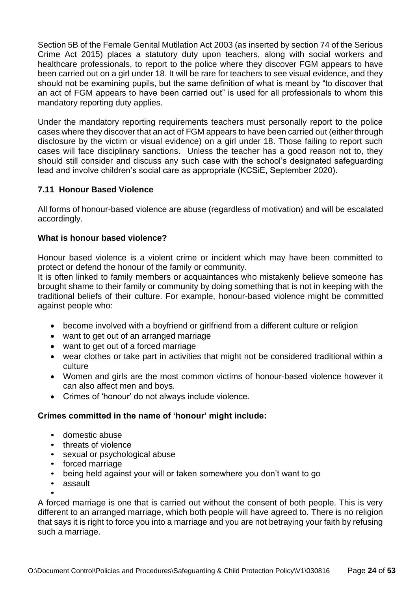Section 5B of the Female Genital Mutilation Act 2003 (as inserted by section 74 of the Serious Crime Act 2015) places a statutory duty upon teachers, along with social workers and healthcare professionals, to report to the police where they discover FGM appears to have been carried out on a girl under 18. It will be rare for teachers to see visual evidence, and they should not be examining pupils, but the same definition of what is meant by "to discover that an act of FGM appears to have been carried out" is used for all professionals to whom this mandatory reporting duty applies.

Under the mandatory reporting requirements teachers must personally report to the police cases where they discover that an act of FGM appears to have been carried out (either through disclosure by the victim or visual evidence) on a girl under 18. Those failing to report such cases will face disciplinary sanctions. Unless the teacher has a good reason not to, they should still consider and discuss any such case with the school's designated safeguarding lead and involve children's social care as appropriate (KCSiE, September 2020).

#### **7.11 Honour Based Violence**

All forms of honour-based violence are abuse (regardless of motivation) and will be escalated accordingly.

#### **What is honour based violence?**

Honour based violence is a violent crime or incident which may have been committed to protect or defend the honour of the family or community.

It is often linked to family members or acquaintances who mistakenly believe someone has brought shame to their family or community by doing something that is not in keeping with the traditional beliefs of their culture. For example, honour-based violence might be committed against people who:

- become involved with a boyfriend or girlfriend from a different culture or religion
- want to get out of an arranged marriage
- want to get out of a forced marriage
- wear clothes or take part in activities that might not be considered traditional within a culture
- Women and girls are the most common victims of honour-based violence however it can also affect men and boys.
- Crimes of 'honour' do not always include violence.

#### **Crimes committed in the name of 'honour' might include:**

- domestic abuse
- threats of violence
- sexual or psychological abuse
- forced marriage
- being held against your will or taken somewhere you don't want to go
- assault •

A forced marriage is one that is carried out without the consent of both people. This is very different to an arranged marriage, which both people will have agreed to. There is no religion that says it is right to force you into a marriage and you are not betraying your faith by refusing such a marriage.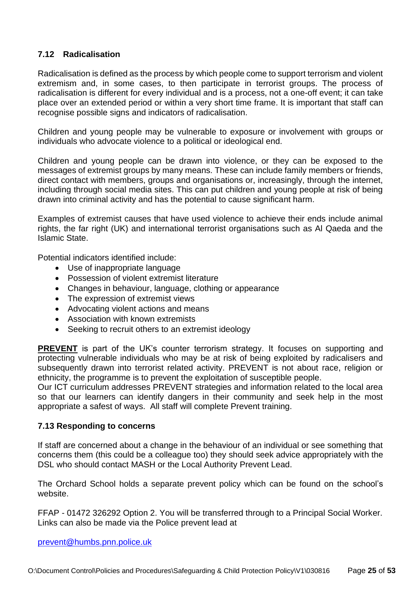#### **7.12 Radicalisation**

Radicalisation is defined as the process by which people come to support terrorism and violent extremism and, in some cases, to then participate in terrorist groups. The process of radicalisation is different for every individual and is a process, not a one-off event; it can take place over an extended period or within a very short time frame. It is important that staff can recognise possible signs and indicators of radicalisation.

Children and young people may be vulnerable to exposure or involvement with groups or individuals who advocate violence to a political or ideological end.

Children and young people can be drawn into violence, or they can be exposed to the messages of extremist groups by many means. These can include family members or friends, direct contact with members, groups and organisations or, increasingly, through the internet, including through social media sites. This can put children and young people at risk of being drawn into criminal activity and has the potential to cause significant harm.

Examples of extremist causes that have used violence to achieve their ends include animal rights, the far right (UK) and international terrorist organisations such as Al Qaeda and the Islamic State.

Potential indicators identified include:

- Use of inappropriate language
- Possession of violent extremist literature
- Changes in behaviour, language, clothing or appearance
- The expression of extremist views
- Advocating violent actions and means
- Association with known extremists
- Seeking to recruit others to an extremist ideology

**PREVENT** is part of the UK's counter terrorism strategy. It focuses on supporting and protecting vulnerable individuals who may be at risk of being exploited by radicalisers and subsequently drawn into terrorist related activity. PREVENT is not about race, religion or ethnicity, the programme is to prevent the exploitation of susceptible people.

Our ICT curriculum addresses PREVENT strategies and information related to the local area so that our learners can identify dangers in their community and seek help in the most appropriate a safest of ways. All staff will complete Prevent training.

#### **7.13 Responding to concerns**

If staff are concerned about a change in the behaviour of an individual or see something that concerns them (this could be a colleague too) they should seek advice appropriately with the DSL who should contact MASH or the Local Authority Prevent Lead.

The Orchard School holds a separate prevent policy which can be found on the school's website.

FFAP - 01472 326292 Option 2. You will be transferred through to a Principal Social Worker. Links can also be made via the Police prevent lead at

[prevent@humbs.pnn.police.uk](file:///C:/Users/estorr/AppData/Local/Microsoft/Windows/Temporary%20Internet%20Files/Content.Outlook/SG70QMHJ/prevent@humbs.pnn.police.uk)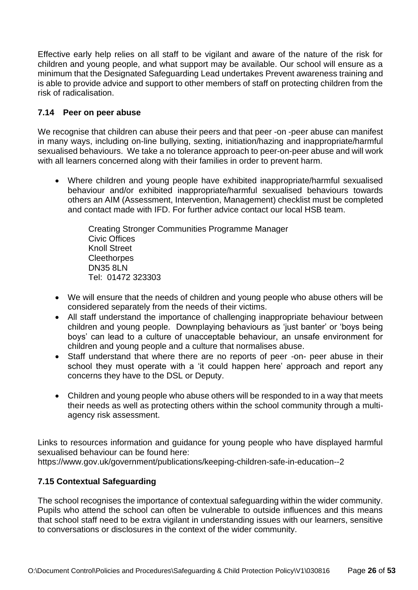Effective early help relies on all staff to be vigilant and aware of the nature of the risk for children and young people, and what support may be available. Our school will ensure as a minimum that the Designated Safeguarding Lead undertakes Prevent awareness training and is able to provide advice and support to other members of staff on protecting children from the risk of radicalisation.

#### **7.14 Peer on peer abuse**

We recognise that children can abuse their peers and that peer -on -peer abuse can manifest in many ways, including on-line bullying, sexting, initiation/hazing and inappropriate/harmful sexualised behaviours. We take a no tolerance approach to peer-on-peer abuse and will work with all learners concerned along with their families in order to prevent harm.

• Where children and young people have exhibited inappropriate/harmful sexualised behaviour and/or exhibited inappropriate/harmful sexualised behaviours towards others an AIM (Assessment, Intervention, Management) checklist must be completed and contact made with IFD. For further advice contact our local HSB team.

> Creating Stronger Communities Programme Manager Civic Offices Knoll Street **Cleethorpes** DN35 8LN Tel: 01472 323303

- We will ensure that the needs of children and young people who abuse others will be considered separately from the needs of their victims.
- All staff understand the importance of challenging inappropriate behaviour between children and young people. Downplaying behaviours as 'just banter' or 'boys being boys' can lead to a culture of unacceptable behaviour, an unsafe environment for children and young people and a culture that normalises abuse.
- Staff understand that where there are no reports of peer -on- peer abuse in their school they must operate with a 'it could happen here' approach and report any concerns they have to the DSL or Deputy.
- Children and young people who abuse others will be responded to in a way that meets their needs as well as protecting others within the school community through a multiagency risk assessment.

Links to resources information and guidance for young people who have displayed harmful sexualised behaviour can be found here:

https://www.gov.uk/government/publications/keeping-children-safe-in-education--2

# **7.15 Contextual Safeguarding**

The school recognises the importance of contextual safeguarding within the wider community. Pupils who attend the school can often be vulnerable to outside influences and this means that school staff need to be extra vigilant in understanding issues with our learners, sensitive to conversations or disclosures in the context of the wider community.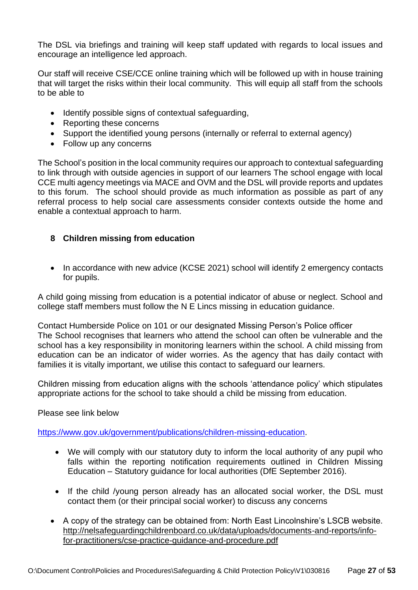The DSL via briefings and training will keep staff updated with regards to local issues and encourage an intelligence led approach.

Our staff will receive CSE/CCE online training which will be followed up with in house training that will target the risks within their local community. This will equip all staff from the schools to be able to

- Identify possible signs of contextual safeguarding,
- Reporting these concerns
- Support the identified young persons (internally or referral to external agency)
- Follow up any concerns

The School's position in the local community requires our approach to contextual safeguarding to link through with outside agencies in support of our learners The school engage with local CCE multi agency meetings via MACE and OVM and the DSL will provide reports and updates to this forum. The school should provide as much information as possible as part of any referral process to help social care assessments consider contexts outside the home and enable a contextual approach to harm.

# **8 Children missing from education**

• In accordance with new advice (KCSE 2021) school will identify 2 emergency contacts for pupils.

A child going missing from education is a potential indicator of abuse or neglect. School and college staff members must follow the N E Lincs missing in education guidance.

Contact Humberside Police on 101 or our designated Missing Person's Police officer The School recognises that learners who attend the school can often be vulnerable and the school has a key responsibility in monitoring learners within the school. A child missing from education can be an indicator of wider worries. As the agency that has daily contact with families it is vitally important, we utilise this contact to safeguard our learners.

Children missing from education aligns with the schools 'attendance policy' which stipulates appropriate actions for the school to take should a child be missing from education.

#### Please see link below

[https://www.gov.uk/government/publications/children-missing-education.](https://www.gov.uk/government/publications/children-missing-education)

- We will comply with our statutory duty to inform the local authority of any pupil who falls within the reporting notification requirements outlined in Children Missing Education – Statutory guidance for local authorities (DfE September 2016).
- If the child /young person already has an allocated social worker, the DSL must contact them (or their principal social worker) to discuss any concerns
- A copy of the strategy can be obtained from: North East Lincolnshire's LSCB website. [http://nelsafeguardingchildrenboard.co.uk/data/uploads/documents-and-reports/info](http://nelsafeguardingchildrenboard.co.uk/data/uploads/documents-and-reports/info-for-practitioners/cse-practice-guidance-and-procedure.pdf)[for-practitioners/cse-practice-guidance-and-procedure.pdf](http://nelsafeguardingchildrenboard.co.uk/data/uploads/documents-and-reports/info-for-practitioners/cse-practice-guidance-and-procedure.pdf)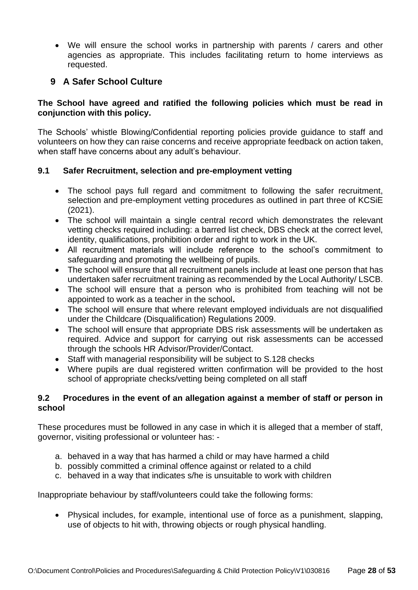We will ensure the school works in partnership with parents / carers and other agencies as appropriate. This includes facilitating return to home interviews as requested.

# **9 A Safer School Culture**

#### **The School have agreed and ratified the following policies which must be read in conjunction with this policy.**

The Schools' whistle Blowing/Confidential reporting policies provide guidance to staff and volunteers on how they can raise concerns and receive appropriate feedback on action taken, when staff have concerns about any adult's behaviour.

#### **9.1 Safer Recruitment, selection and pre-employment vetting**

- The school pays full regard and commitment to following the safer recruitment, selection and pre-employment vetting procedures as outlined in part three of KCSiE (2021).
- The school will maintain a single central record which demonstrates the relevant vetting checks required including: a barred list check, DBS check at the correct level, identity, qualifications, prohibition order and right to work in the UK.
- All recruitment materials will include reference to the school's commitment to safeguarding and promoting the wellbeing of pupils.
- The school will ensure that all recruitment panels include at least one person that has undertaken safer recruitment training as recommended by the Local Authority/ LSCB.
- The school will ensure that a person who is prohibited from teaching will not be appointed to work as a teacher in the school**.**
- The school will ensure that where relevant employed individuals are not disqualified under the Childcare (Disqualification) Regulations 2009.
- The school will ensure that appropriate DBS risk assessments will be undertaken as required. Advice and support for carrying out risk assessments can be accessed through the schools HR Advisor/Provider/Contact.
- Staff with managerial responsibility will be subject to S.128 checks
- Where pupils are dual registered written confirmation will be provided to the host school of appropriate checks/vetting being completed on all staff

#### **9.2 Procedures in the event of an allegation against a member of staff or person in school**

These procedures must be followed in any case in which it is alleged that a member of staff, governor, visiting professional or volunteer has: -

- a. behaved in a way that has harmed a child or may have harmed a child
- b. possibly committed a criminal offence against or related to a child
- c. behaved in a way that indicates s/he is unsuitable to work with children

Inappropriate behaviour by staff/volunteers could take the following forms:

• Physical includes, for example, intentional use of force as a punishment, slapping, use of objects to hit with, throwing objects or rough physical handling.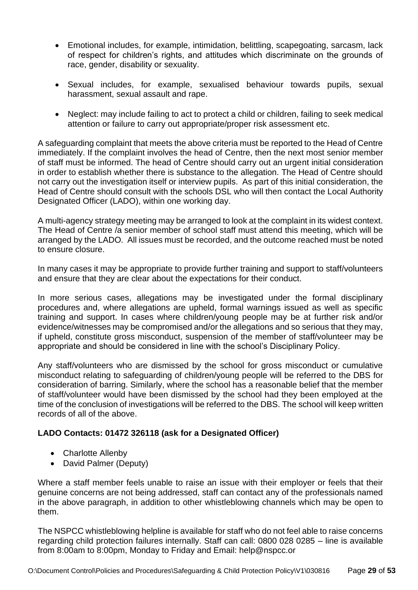- Emotional includes, for example, intimidation, belittling, scapegoating, sarcasm, lack of respect for children's rights, and attitudes which discriminate on the grounds of race, gender, disability or sexuality.
- Sexual includes, for example, sexualised behaviour towards pupils, sexual harassment, sexual assault and rape.
- Neglect: may include failing to act to protect a child or children, failing to seek medical attention or failure to carry out appropriate/proper risk assessment etc.

A safeguarding complaint that meets the above criteria must be reported to the Head of Centre immediately. If the complaint involves the head of Centre, then the next most senior member of staff must be informed. The head of Centre should carry out an urgent initial consideration in order to establish whether there is substance to the allegation. The Head of Centre should not carry out the investigation itself or interview pupils. As part of this initial consideration, the Head of Centre should consult with the schools DSL who will then contact the Local Authority Designated Officer (LADO), within one working day.

A multi-agency strategy meeting may be arranged to look at the complaint in its widest context. The Head of Centre /a senior member of school staff must attend this meeting, which will be arranged by the LADO. All issues must be recorded, and the outcome reached must be noted to ensure closure.

In many cases it may be appropriate to provide further training and support to staff/volunteers and ensure that they are clear about the expectations for their conduct.

In more serious cases, allegations may be investigated under the formal disciplinary procedures and, where allegations are upheld, formal warnings issued as well as specific training and support. In cases where children/young people may be at further risk and/or evidence/witnesses may be compromised and/or the allegations and so serious that they may, if upheld, constitute gross misconduct, suspension of the member of staff/volunteer may be appropriate and should be considered in line with the school's Disciplinary Policy.

Any staff/volunteers who are dismissed by the school for gross misconduct or cumulative misconduct relating to safeguarding of children/young people will be referred to the DBS for consideration of barring. Similarly, where the school has a reasonable belief that the member of staff/volunteer would have been dismissed by the school had they been employed at the time of the conclusion of investigations will be referred to the DBS. The school will keep written records of all of the above.

# **LADO Contacts: 01472 326118 (ask for a Designated Officer)**

- Charlotte Allenby
- David Palmer (Deputy)

Where a staff member feels unable to raise an issue with their employer or feels that their genuine concerns are not being addressed, staff can contact any of the professionals named in the above paragraph, in addition to other whistleblowing channels which may be open to them.

The NSPCC whistleblowing helpline is available for staff who do not feel able to raise concerns regarding child protection failures internally. Staff can call: 0800 028 0285 – line is available from 8:00am to 8:00pm, Monday to Friday and Email: help@nspcc.or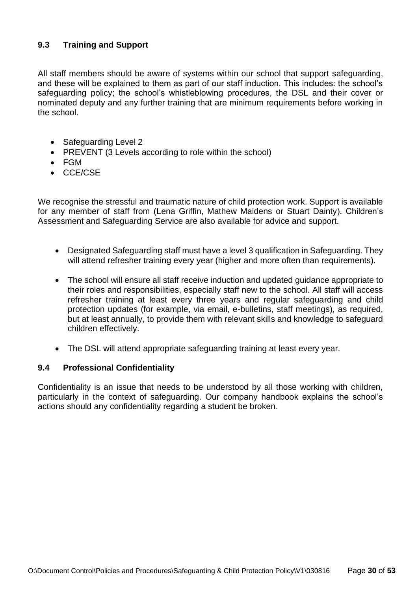# **9.3 Training and Support**

All staff members should be aware of systems within our school that support safeguarding, and these will be explained to them as part of our staff induction. This includes: the school's safeguarding policy; the school's whistleblowing procedures, the DSL and their cover or nominated deputy and any further training that are minimum requirements before working in the school.

- Safeguarding Level 2
- PREVENT (3 Levels according to role within the school)
- FGM
- CCE/CSE

We recognise the stressful and traumatic nature of child protection work. Support is available for any member of staff from (Lena Griffin, Mathew Maidens or Stuart Dainty). Children's Assessment and Safeguarding Service are also available for advice and support.

- Designated Safeguarding staff must have a level 3 qualification in Safeguarding. They will attend refresher training every year (higher and more often than requirements).
- The school will ensure all staff receive induction and updated guidance appropriate to their roles and responsibilities, especially staff new to the school. All staff will access refresher training at least every three years and regular safeguarding and child protection updates (for example, via email, e-bulletins, staff meetings), as required, but at least annually, to provide them with relevant skills and knowledge to safeguard children effectively.
- The DSL will attend appropriate safeguarding training at least every year.

# **9.4 Professional Confidentiality**

Confidentiality is an issue that needs to be understood by all those working with children, particularly in the context of safeguarding. Our company handbook explains the school's actions should any confidentiality regarding a student be broken.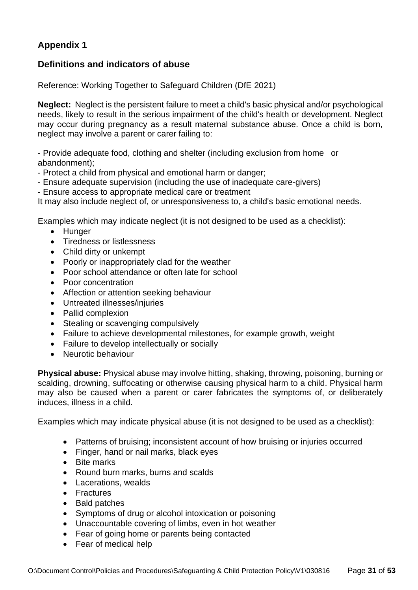# **Appendix 1**

# **Definitions and indicators of abuse**

Reference: Working Together to Safeguard Children (DfE 2021)

**Neglect:** Neglect is the persistent failure to meet a child's basic physical and/or psychological needs, likely to result in the serious impairment of the child's health or development. Neglect may occur during pregnancy as a result maternal substance abuse. Once a child is born, neglect may involve a parent or carer failing to:

- Provide adequate food, clothing and shelter (including exclusion from home or abandonment);

- Protect a child from physical and emotional harm or danger;
- Ensure adequate supervision (including the use of inadequate care-givers)
- Ensure access to appropriate medical care or treatment

It may also include neglect of, or unresponsiveness to, a child's basic emotional needs.

Examples which may indicate neglect (it is not designed to be used as a checklist):

- Hunger
- Tiredness or listlessness
- Child dirty or unkempt
- Poorly or inappropriately clad for the weather
- Poor school attendance or often late for school
- Poor concentration
- Affection or attention seeking behaviour
- Untreated illnesses/injuries
- Pallid complexion
- Stealing or scavenging compulsively
- Failure to achieve developmental milestones, for example growth, weight
- Failure to develop intellectually or socially
- Neurotic behaviour

**Physical abuse:** Physical abuse may involve hitting, shaking, throwing, poisoning, burning or scalding, drowning, suffocating or otherwise causing physical harm to a child. Physical harm may also be caused when a parent or carer fabricates the symptoms of, or deliberately induces, illness in a child.

Examples which may indicate physical abuse (it is not designed to be used as a checklist):

- Patterns of bruising; inconsistent account of how bruising or injuries occurred
- Finger, hand or nail marks, black eyes
- Bite marks
- Round burn marks, burns and scalds
- Lacerations, wealds
- Fractures
- Bald patches
- Symptoms of drug or alcohol intoxication or poisoning
- Unaccountable covering of limbs, even in hot weather
- Fear of going home or parents being contacted
- Fear of medical help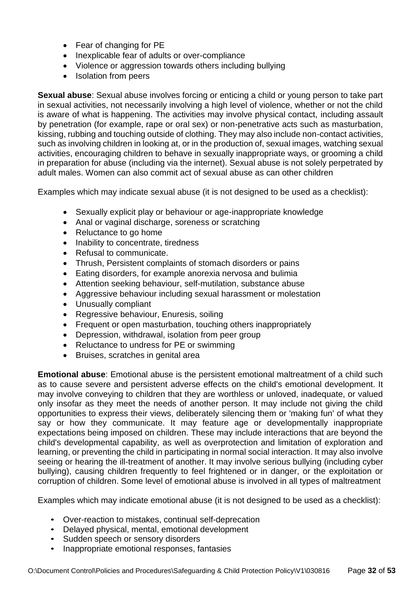- Fear of changing for PE
- Inexplicable fear of adults or over-compliance
- Violence or aggression towards others including bullying
- Isolation from peers

**Sexual abuse**: Sexual abuse involves forcing or enticing a child or young person to take part in sexual activities, not necessarily involving a high level of violence, whether or not the child is aware of what is happening. The activities may involve physical contact, including assault by penetration (for example, rape or oral sex) or non-penetrative acts such as masturbation, kissing, rubbing and touching outside of clothing. They may also include non-contact activities, such as involving children in looking at, or in the production of, sexual images, watching sexual activities, encouraging children to behave in sexually inappropriate ways, or grooming a child in preparation for abuse (including via the internet). Sexual abuse is not solely perpetrated by adult males. Women can also commit act of sexual abuse as can other children

Examples which may indicate sexual abuse (it is not designed to be used as a checklist):

- Sexually explicit play or behaviour or age-inappropriate knowledge
- Anal or vaginal discharge, soreness or scratching
- Reluctance to go home
- Inability to concentrate, tiredness
- Refusal to communicate.
- Thrush, Persistent complaints of stomach disorders or pains
- Eating disorders, for example anorexia nervosa and bulimia
- Attention seeking behaviour, self-mutilation, substance abuse
- Aggressive behaviour including sexual harassment or molestation
- Unusually compliant
- Regressive behaviour, Enuresis, soiling
- Frequent or open masturbation, touching others inappropriately
- Depression, withdrawal, isolation from peer group
- Reluctance to undress for PE or swimming
- Bruises, scratches in genital area

**Emotional abuse**: Emotional abuse is the persistent emotional maltreatment of a child such as to cause severe and persistent adverse effects on the child's emotional development. It may involve conveying to children that they are worthless or unloved, inadequate, or valued only insofar as they meet the needs of another person. It may include not giving the child opportunities to express their views, deliberately silencing them or 'making fun' of what they say or how they communicate. It may feature age or developmentally inappropriate expectations being imposed on children. These may include interactions that are beyond the child's developmental capability, as well as overprotection and limitation of exploration and learning, or preventing the child in participating in normal social interaction. It may also involve seeing or hearing the ill-treatment of another. It may involve serious bullying (including cyber bullying), causing children frequently to feel frightened or in danger, or the exploitation or corruption of children. Some level of emotional abuse is involved in all types of maltreatment

Examples which may indicate emotional abuse (it is not designed to be used as a checklist):

- Over-reaction to mistakes, continual self-deprecation
- Delayed physical, mental, emotional development
- Sudden speech or sensory disorders
- Inappropriate emotional responses, fantasies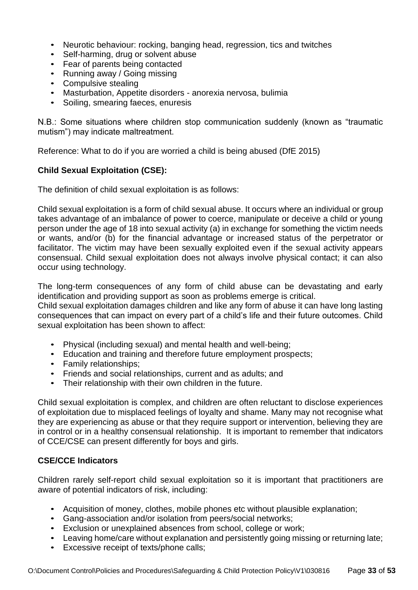- Neurotic behaviour: rocking, banging head, regression, tics and twitches
- Self-harming, drug or solvent abuse
- Fear of parents being contacted
- Running away / Going missing
- Compulsive stealing
- Masturbation, Appetite disorders anorexia nervosa, bulimia
- Soiling, smearing faeces, enuresis

N.B.: Some situations where children stop communication suddenly (known as "traumatic mutism") may indicate maltreatment.

Reference: What to do if you are worried a child is being abused (DfE 2015)

#### **Child Sexual Exploitation (CSE):**

The definition of child sexual exploitation is as follows:

Child sexual exploitation is a form of child sexual abuse. It occurs where an individual or group takes advantage of an imbalance of power to coerce, manipulate or deceive a child or young person under the age of 18 into sexual activity (a) in exchange for something the victim needs or wants, and/or (b) for the financial advantage or increased status of the perpetrator or facilitator. The victim may have been sexually exploited even if the sexual activity appears consensual. Child sexual exploitation does not always involve physical contact; it can also occur using technology.

The long-term consequences of any form of child abuse can be devastating and early identification and providing support as soon as problems emerge is critical.

Child sexual exploitation damages children and like any form of abuse it can have long lasting consequences that can impact on every part of a child's life and their future outcomes. Child sexual exploitation has been shown to affect:

- Physical (including sexual) and mental health and well-being;
- Education and training and therefore future employment prospects;
- Family relationships;
- Friends and social relationships, current and as adults; and
- Their relationship with their own children in the future.

Child sexual exploitation is complex, and children are often reluctant to disclose experiences of exploitation due to misplaced feelings of loyalty and shame. Many may not recognise what they are experiencing as abuse or that they require support or intervention, believing they are in control or in a healthy consensual relationship. It is important to remember that indicators of CCE/CSE can present differently for boys and girls.

#### **CSE/CCE Indicators**

Children rarely self-report child sexual exploitation so it is important that practitioners are aware of potential indicators of risk, including:

- Acquisition of money, clothes, mobile phones etc without plausible explanation;
- Gang-association and/or isolation from peers/social networks;
- Exclusion or unexplained absences from school, college or work;
- Leaving home/care without explanation and persistently going missing or returning late;
- Excessive receipt of texts/phone calls;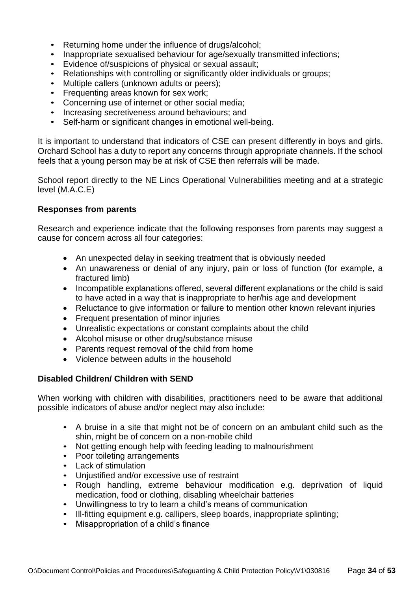- Returning home under the influence of drugs/alcohol:
- Inappropriate sexualised behaviour for age/sexually transmitted infections;
- Evidence of/suspicions of physical or sexual assault;
- Relationships with controlling or significantly older individuals or groups;
- Multiple callers (unknown adults or peers);
- Frequenting areas known for sex work;
- Concerning use of internet or other social media;
- Increasing secretiveness around behaviours; and
- Self-harm or significant changes in emotional well-being.

It is important to understand that indicators of CSE can present differently in boys and girls. Orchard School has a duty to report any concerns through appropriate channels. If the school feels that a young person may be at risk of CSE then referrals will be made.

School report directly to the NE Lincs Operational Vulnerabilities meeting and at a strategic level (M.A.C.E)

#### **Responses from parents**

Research and experience indicate that the following responses from parents may suggest a cause for concern across all four categories:

- An unexpected delay in seeking treatment that is obviously needed
- An unawareness or denial of any injury, pain or loss of function (for example, a fractured limb)
- Incompatible explanations offered, several different explanations or the child is said to have acted in a way that is inappropriate to her/his age and development
- Reluctance to give information or failure to mention other known relevant injuries
- Frequent presentation of minor injuries
- Unrealistic expectations or constant complaints about the child
- Alcohol misuse or other drug/substance misuse
- Parents request removal of the child from home
- Violence between adults in the household

#### **Disabled Children/ Children with SEND**

When working with children with disabilities, practitioners need to be aware that additional possible indicators of abuse and/or neglect may also include:

- A bruise in a site that might not be of concern on an ambulant child such as the shin, might be of concern on a non-mobile child
- Not getting enough help with feeding leading to malnourishment
- Poor toileting arrangements
- Lack of stimulation
- Uniustified and/or excessive use of restraint
- Rough handling, extreme behaviour modification e.g. deprivation of liquid medication, food or clothing, disabling wheelchair batteries
- Unwillingness to try to learn a child's means of communication
- Ill-fitting equipment e.g. callipers, sleep boards, inappropriate splinting;
- <span id="page-33-0"></span>• Misappropriation of a child's finance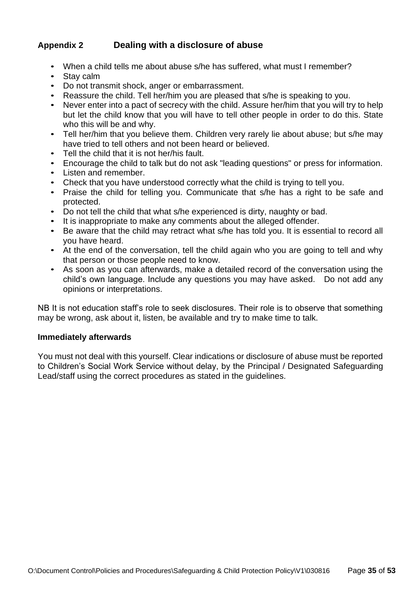# **Appendix 2 Dealing with a disclosure of abuse**

- When a child tells me about abuse s/he has suffered, what must I remember?
- Stay calm
- Do not transmit shock, anger or embarrassment.
- Reassure the child. Tell her/him you are pleased that s/he is speaking to you.
- Never enter into a pact of secrecy with the child. Assure her/him that you will try to help but let the child know that you will have to tell other people in order to do this. State who this will be and why.
- Tell her/him that you believe them. Children very rarely lie about abuse; but s/he may have tried to tell others and not been heard or believed.
- Tell the child that it is not her/his fault.
- Encourage the child to talk but do not ask "leading questions" or press for information.
- Listen and remember.
- Check that you have understood correctly what the child is trying to tell you.
- Praise the child for telling you. Communicate that s/he has a right to be safe and protected.
- Do not tell the child that what s/he experienced is dirty, naughty or bad.
- It is inappropriate to make any comments about the alleged offender.
- Be aware that the child may retract what s/he has told you. It is essential to record all you have heard.
- At the end of the conversation, tell the child again who you are going to tell and why that person or those people need to know.
- As soon as you can afterwards, make a detailed record of the conversation using the child's own language. Include any questions you may have asked. Do not add any opinions or interpretations.

NB It is not education staff's role to seek disclosures. Their role is to observe that something may be wrong, ask about it, listen, be available and try to make time to talk.

#### **Immediately afterwards**

<span id="page-34-0"></span>You must not deal with this yourself. Clear indications or disclosure of abuse must be reported to Children's Social Work Service without delay, by the Principal / Designated Safeguarding Lead/staff using the correct procedures as stated in the guidelines.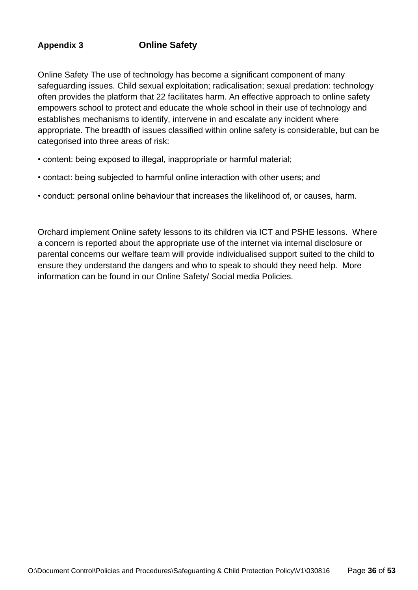# **Appendix 3 Online Safety**

Online Safety The use of technology has become a significant component of many safeguarding issues. Child sexual exploitation; radicalisation; sexual predation: technology often provides the platform that 22 facilitates harm. An effective approach to online safety empowers school to protect and educate the whole school in their use of technology and establishes mechanisms to identify, intervene in and escalate any incident where appropriate. The breadth of issues classified within online safety is considerable, but can be categorised into three areas of risk:

- content: being exposed to illegal, inappropriate or harmful material;
- contact: being subjected to harmful online interaction with other users; and
- conduct: personal online behaviour that increases the likelihood of, or causes, harm.

Orchard implement Online safety lessons to its children via ICT and PSHE lessons. Where a concern is reported about the appropriate use of the internet via internal disclosure or parental concerns our welfare team will provide individualised support suited to the child to ensure they understand the dangers and who to speak to should they need help. More information can be found in our Online Safety/ Social media Policies.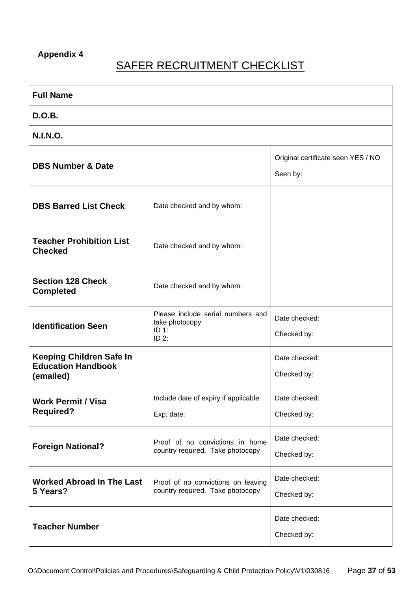# **Appendix 4**

# **SAFER RECRUITMENT CHECKLIST**

| <b>Full Name</b>                                                          |                                                                         |                                                |
|---------------------------------------------------------------------------|-------------------------------------------------------------------------|------------------------------------------------|
| <b>D.O.B.</b>                                                             |                                                                         |                                                |
| <b>N.I.N.O.</b>                                                           |                                                                         |                                                |
| <b>DBS Number &amp; Date</b>                                              |                                                                         | Original certificate seen YES / NO<br>Seen by: |
| <b>DBS Barred List Check</b>                                              | Date checked and by whom:                                               |                                                |
| <b>Teacher Prohibition List</b><br><b>Checked</b>                         | Date checked and by whom:                                               |                                                |
| <b>Section 128 Check</b><br><b>Completed</b>                              | Date checked and by whom:                                               |                                                |
| <b>Identification Seen</b>                                                | Please include serial numbers and<br>take photocopy<br>ID 1:<br>$ID2$ : | Date checked:<br>Checked by:                   |
| <b>Keeping Children Safe In</b><br><b>Education Handbook</b><br>(emailed) |                                                                         | Date checked:<br>Checked by:                   |
| <b>Work Permit / Visa</b><br><b>Required?</b>                             | Include date of expiry if applicable<br>Exp. date:                      | Date checked:<br>Checked by:                   |
| <b>Foreign National?</b>                                                  | Proof of no convictions in home<br>country required. Take photocopy     | Date checked:<br>Checked by:                   |
| <b>Worked Abroad In The Last</b><br>5 Years?                              | Proof of no convictions on leaving<br>country required. Take photocopy  | Date checked:<br>Checked by:                   |
| <b>Teacher Number</b>                                                     |                                                                         | Date checked:<br>Checked by:                   |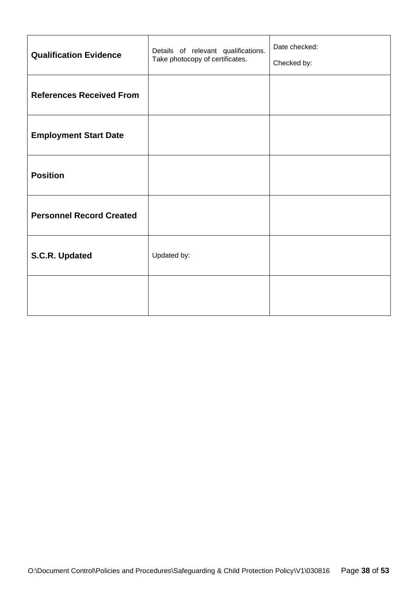| <b>Qualification Evidence</b>   | Details of relevant qualifications.<br>Take photocopy of certificates. | Date checked:<br>Checked by: |
|---------------------------------|------------------------------------------------------------------------|------------------------------|
| <b>References Received From</b> |                                                                        |                              |
| <b>Employment Start Date</b>    |                                                                        |                              |
| <b>Position</b>                 |                                                                        |                              |
| <b>Personnel Record Created</b> |                                                                        |                              |
| S.C.R. Updated                  | Updated by:                                                            |                              |
|                                 |                                                                        |                              |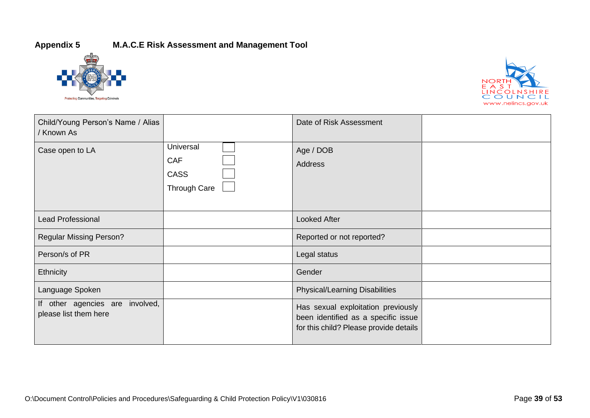# **Appendix 5 M.A.C.E Risk Assessment and Management Tool**





| Child/Young Person's Name / Alias<br>/ Known As          |                                                        | Date of Risk Assessment                                                                                             |  |
|----------------------------------------------------------|--------------------------------------------------------|---------------------------------------------------------------------------------------------------------------------|--|
| Case open to LA                                          | Universal<br><b>CAF</b><br><b>CASS</b><br>Through Care | Age / DOB<br>Address                                                                                                |  |
| <b>Lead Professional</b>                                 |                                                        | <b>Looked After</b>                                                                                                 |  |
| <b>Regular Missing Person?</b>                           |                                                        | Reported or not reported?                                                                                           |  |
| Person/s of PR                                           |                                                        | Legal status                                                                                                        |  |
| Ethnicity                                                |                                                        | Gender                                                                                                              |  |
| Language Spoken                                          |                                                        | <b>Physical/Learning Disabilities</b>                                                                               |  |
| If other agencies are involved,<br>please list them here |                                                        | Has sexual exploitation previously<br>been identified as a specific issue<br>for this child? Please provide details |  |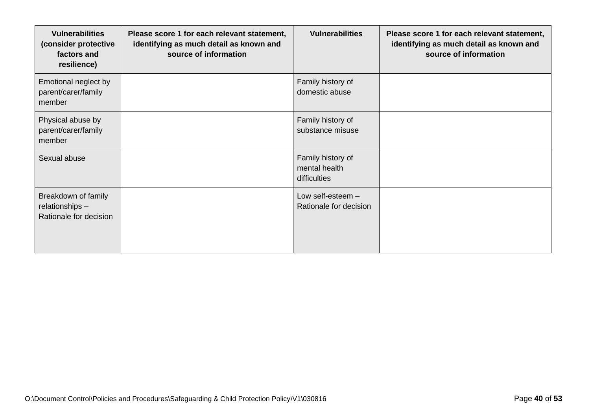| <b>Vulnerabilities</b><br>(consider protective<br>factors and<br>resilience) | Please score 1 for each relevant statement,<br>identifying as much detail as known and<br>source of information | <b>Vulnerabilities</b>                             | Please score 1 for each relevant statement,<br>identifying as much detail as known and<br>source of information |
|------------------------------------------------------------------------------|-----------------------------------------------------------------------------------------------------------------|----------------------------------------------------|-----------------------------------------------------------------------------------------------------------------|
| Emotional neglect by<br>parent/carer/family<br>member                        |                                                                                                                 | Family history of<br>domestic abuse                |                                                                                                                 |
| Physical abuse by<br>parent/carer/family<br>member                           |                                                                                                                 | Family history of<br>substance misuse              |                                                                                                                 |
| Sexual abuse                                                                 |                                                                                                                 | Family history of<br>mental health<br>difficulties |                                                                                                                 |
| Breakdown of family<br>relationships -<br>Rationale for decision             |                                                                                                                 | Low self-esteem -<br>Rationale for decision        |                                                                                                                 |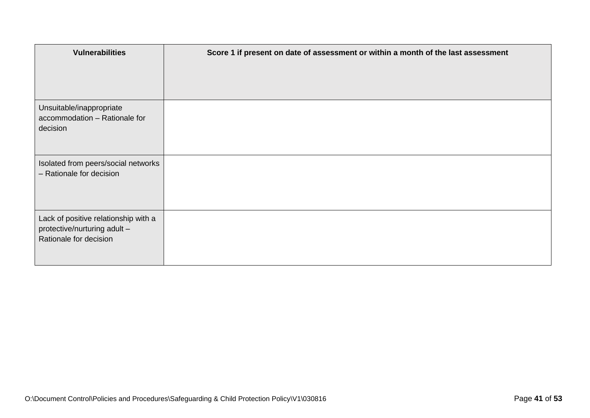| <b>Vulnerabilities</b>                                                                         | Score 1 if present on date of assessment or within a month of the last assessment |
|------------------------------------------------------------------------------------------------|-----------------------------------------------------------------------------------|
| Unsuitable/inappropriate<br>accommodation - Rationale for<br>decision                          |                                                                                   |
| Isolated from peers/social networks<br>- Rationale for decision                                |                                                                                   |
| Lack of positive relationship with a<br>protective/nurturing adult -<br>Rationale for decision |                                                                                   |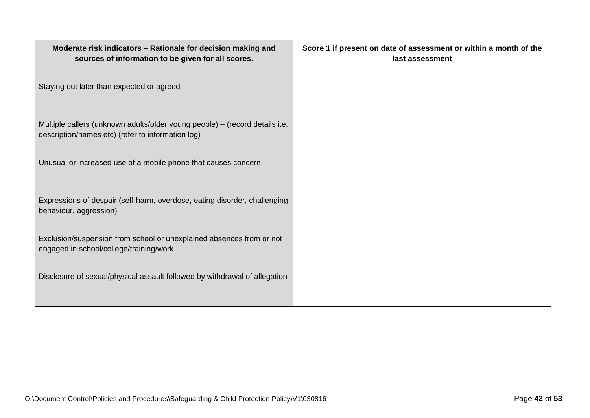| Moderate risk indicators - Rationale for decision making and<br>sources of information to be given for all scores.               | Score 1 if present on date of assessment or within a month of the<br>last assessment |
|----------------------------------------------------------------------------------------------------------------------------------|--------------------------------------------------------------------------------------|
| Staying out later than expected or agreed                                                                                        |                                                                                      |
| Multiple callers (unknown adults/older young people) - (record details i.e.<br>description/names etc) (refer to information log) |                                                                                      |
| Unusual or increased use of a mobile phone that causes concern                                                                   |                                                                                      |
| Expressions of despair (self-harm, overdose, eating disorder, challenging<br>behaviour, aggression)                              |                                                                                      |
| Exclusion/suspension from school or unexplained absences from or not<br>engaged in school/college/training/work                  |                                                                                      |
| Disclosure of sexual/physical assault followed by withdrawal of allegation                                                       |                                                                                      |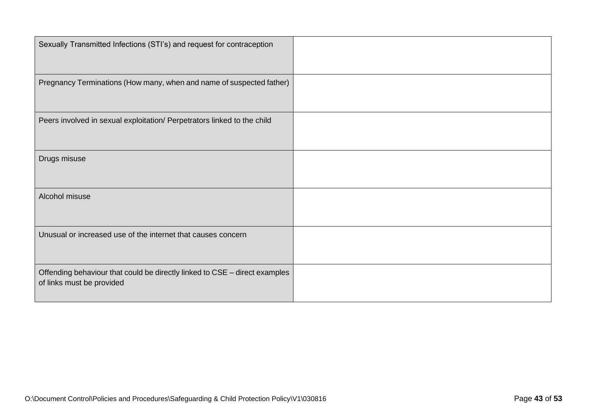| Sexually Transmitted Infections (STI's) and request for contraception      |  |
|----------------------------------------------------------------------------|--|
|                                                                            |  |
|                                                                            |  |
| Pregnancy Terminations (How many, when and name of suspected father)       |  |
|                                                                            |  |
|                                                                            |  |
| Peers involved in sexual exploitation/ Perpetrators linked to the child    |  |
|                                                                            |  |
|                                                                            |  |
| Drugs misuse                                                               |  |
|                                                                            |  |
|                                                                            |  |
| Alcohol misuse                                                             |  |
|                                                                            |  |
|                                                                            |  |
| Unusual or increased use of the internet that causes concern               |  |
|                                                                            |  |
|                                                                            |  |
| Offending behaviour that could be directly linked to CSE - direct examples |  |
| of links must be provided                                                  |  |
|                                                                            |  |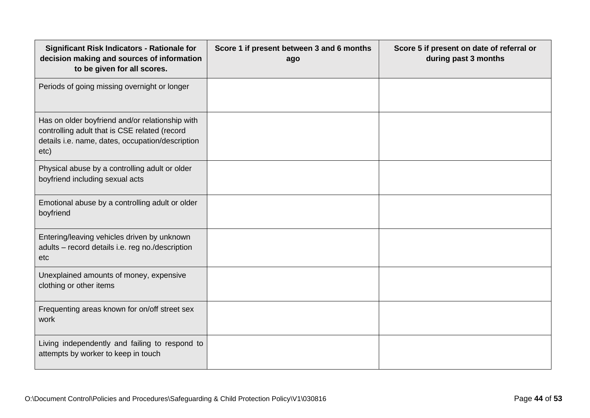| <b>Significant Risk Indicators - Rationale for</b><br>decision making and sources of information<br>to be given for all scores.                              | Score 1 if present between 3 and 6 months<br>ago | Score 5 if present on date of referral or<br>during past 3 months |
|--------------------------------------------------------------------------------------------------------------------------------------------------------------|--------------------------------------------------|-------------------------------------------------------------------|
| Periods of going missing overnight or longer                                                                                                                 |                                                  |                                                                   |
| Has on older boyfriend and/or relationship with<br>controlling adult that is CSE related (record<br>details i.e. name, dates, occupation/description<br>etc) |                                                  |                                                                   |
| Physical abuse by a controlling adult or older<br>boyfriend including sexual acts                                                                            |                                                  |                                                                   |
| Emotional abuse by a controlling adult or older<br>boyfriend                                                                                                 |                                                  |                                                                   |
| Entering/leaving vehicles driven by unknown<br>adults - record details i.e. reg no./description<br>etc                                                       |                                                  |                                                                   |
| Unexplained amounts of money, expensive<br>clothing or other items                                                                                           |                                                  |                                                                   |
| Frequenting areas known for on/off street sex<br>work                                                                                                        |                                                  |                                                                   |
| Living independently and failing to respond to<br>attempts by worker to keep in touch                                                                        |                                                  |                                                                   |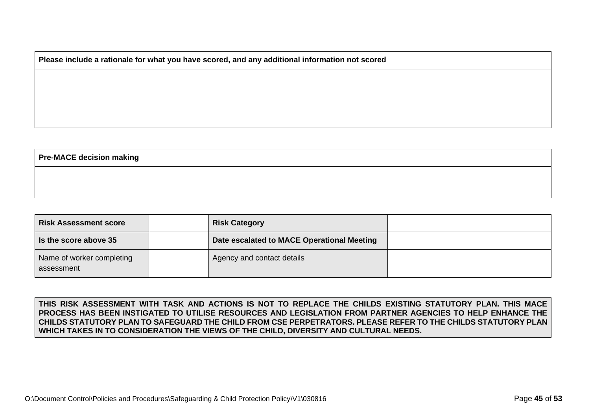#### **Please include a rationale for what you have scored, and any additional information not scored**

#### **Pre-MACE decision making**

| <b>Risk Assessment score</b>            | <b>Risk Category</b>                       |  |
|-----------------------------------------|--------------------------------------------|--|
| Is the score above 35                   | Date escalated to MACE Operational Meeting |  |
| Name of worker completing<br>assessment | Agency and contact details                 |  |

**THIS RISK ASSESSMENT WITH TASK AND ACTIONS IS NOT TO REPLACE THE CHILDS EXISTING STATUTORY PLAN. THIS MACE PROCESS HAS BEEN INSTIGATED TO UTILISE RESOURCES AND LEGISLATION FROM PARTNER AGENCIES TO HELP ENHANCE THE CHILDS STATUTORY PLAN TO SAFEGUARD THE CHILD FROM CSE PERPETRATORS. PLEASE REFER TO THE CHILDS STATUTORY PLAN WHICH TAKES IN TO CONSIDERATION THE VIEWS OF THE CHILD, DIVERSITY AND CULTURAL NEEDS.**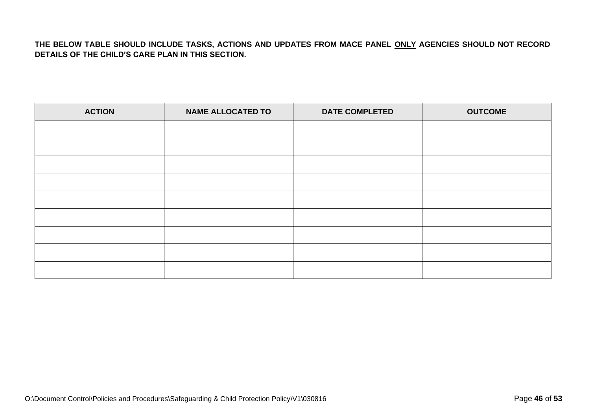#### **THE BELOW TABLE SHOULD INCLUDE TASKS, ACTIONS AND UPDATES FROM MACE PANEL ONLY AGENCIES SHOULD NOT RECORD DETAILS OF THE CHILD'S CARE PLAN IN THIS SECTION.**

| <b>ACTION</b> | <b>NAME ALLOCATED TO</b> | <b>DATE COMPLETED</b> | <b>OUTCOME</b> |  |
|---------------|--------------------------|-----------------------|----------------|--|
|               |                          |                       |                |  |
|               |                          |                       |                |  |
|               |                          |                       |                |  |
|               |                          |                       |                |  |
|               |                          |                       |                |  |
|               |                          |                       |                |  |
|               |                          |                       |                |  |
|               |                          |                       |                |  |
|               |                          |                       |                |  |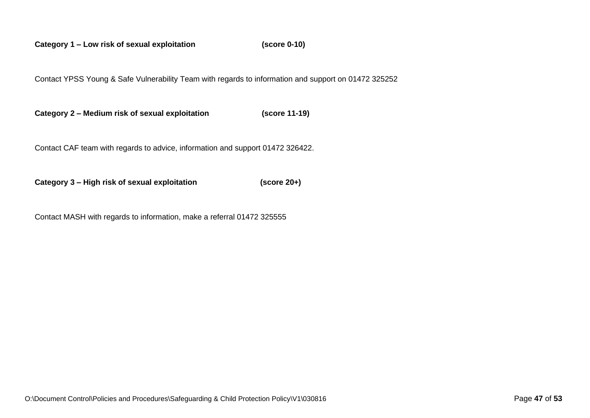**Category 1 – Low risk of sexual exploitation (score 0-10)**

Contact YPSS Young & Safe Vulnerability Team with regards to information and support on 01472 325252

**Category 2 – Medium risk of sexual exploitation (score 11-19)**

Contact CAF team with regards to advice, information and support 01472 326422.

**Category 3 – High risk of sexual exploitation (score 20+)**

Contact MASH with regards to information, make a referral 01472 325555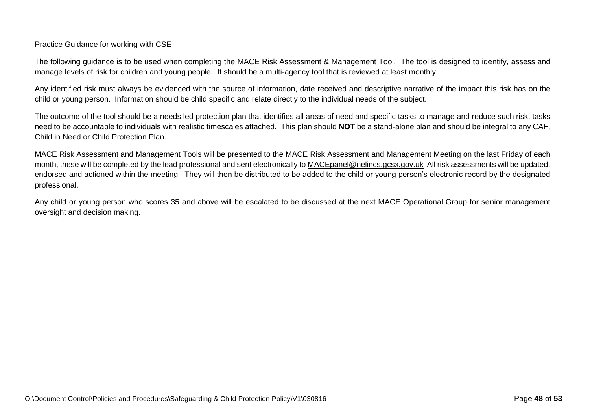#### Practice Guidance for working with CSE

The following guidance is to be used when completing the MACE Risk Assessment & Management Tool. The tool is designed to identify, assess and manage levels of risk for children and young people. It should be a multi-agency tool that is reviewed at least monthly.

Any identified risk must always be evidenced with the source of information, date received and descriptive narrative of the impact this risk has on the child or young person. Information should be child specific and relate directly to the individual needs of the subject.

The outcome of the tool should be a needs led protection plan that identifies all areas of need and specific tasks to manage and reduce such risk, tasks need to be accountable to individuals with realistic timescales attached. This plan should **NOT** be a stand-alone plan and should be integral to any CAF, Child in Need or Child Protection Plan.

MACE Risk Assessment and Management Tools will be presented to the MACE Risk Assessment and Management Meeting on the last Friday of each month, these will be completed by the lead professional and sent electronically to [MACEpanel@nelincs.gcsx.gov.uk](mailto:MACEpanel@nelincs.gcsx.gov.uk) All risk assessments will be updated, endorsed and actioned within the meeting. They will then be distributed to be added to the child or young person's electronic record by the designated professional.

Any child or young person who scores 35 and above will be escalated to be discussed at the next MACE Operational Group for senior management oversight and decision making.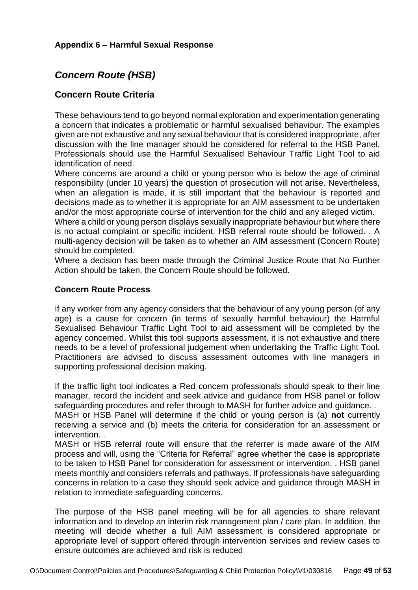# *Concern Route (HSB)*

# **Concern Route Criteria**

These behaviours tend to go beyond normal exploration and experimentation generating a concern that indicates a problematic or harmful sexualised behaviour. The examples given are not exhaustive and any sexual behaviour that is considered inappropriate, after discussion with the line manager should be considered for referral to the HSB Panel. Professionals should use the Harmful Sexualised Behaviour Traffic Light Tool to aid identification of need.

Where concerns are around a child or young person who is below the age of criminal responsibility (under 10 years) the question of prosecution will not arise. Nevertheless, when an allegation is made, it is still important that the behaviour is reported and decisions made as to whether it is appropriate for an AIM assessment to be undertaken and/or the most appropriate course of intervention for the child and any alleged victim.

Where a child or young person displays sexually inappropriate behaviour but where there is no actual complaint or specific incident, HSB referral route should be followed. . A multi-agency decision will be taken as to whether an AIM assessment (Concern Route) should be completed.

Where a decision has been made through the Criminal Justice Route that No Further Action should be taken, the Concern Route should be followed.

#### **Concern Route Process**

If any worker from any agency considers that the behaviour of any young person (of any age) is a cause for concern (in terms of sexually harmful behaviour) the Harmful Sexualised Behaviour Traffic Light Tool to aid assessment will be completed by the agency concerned. Whilst this tool supports assessment, it is not exhaustive and there needs to be a level of professional judgement when undertaking the Traffic Light Tool. Practitioners are advised to discuss assessment outcomes with line managers in supporting professional decision making.

If the traffic light tool indicates a Red concern professionals should speak to their line manager, record the incident and seek advice and guidance from HSB panel or follow safeguarding procedures and refer through to MASH for further advice and guidance..

MASH or HSB Panel will determine if the child or young person is (a) **not** currently receiving a service and (b) meets the criteria for consideration for an assessment or intervention. .

MASH or HSB referral route will ensure that the referrer is made aware of the AIM process and will, using the "Criteria for Referral" agree whether the case is appropriate to be taken to HSB Panel for consideration for assessment or intervention. . HSB panel meets monthly and considers referrals and pathways. If professionals have safeguarding concerns in relation to a case they should seek advice and guidance through MASH in relation to immediate safeguarding concerns.

The purpose of the HSB panel meeting will be for all agencies to share relevant information and to develop an interim risk management plan / care plan. In addition, the meeting will decide whether a full AIM assessment is considered appropriate or appropriate level of support offered through intervention services and review cases to ensure outcomes are achieved and risk is reduced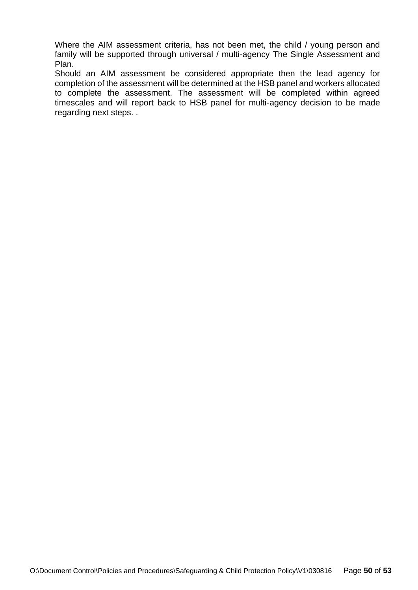Where the AIM assessment criteria, has not been met, the child / young person and family will be supported through universal / multi-agency The Single Assessment and Plan.

Should an AIM assessment be considered appropriate then the lead agency for completion of the assessment will be determined at the HSB panel and workers allocated to complete the assessment. The assessment will be completed within agreed timescales and will report back to HSB panel for multi-agency decision to be made regarding next steps. .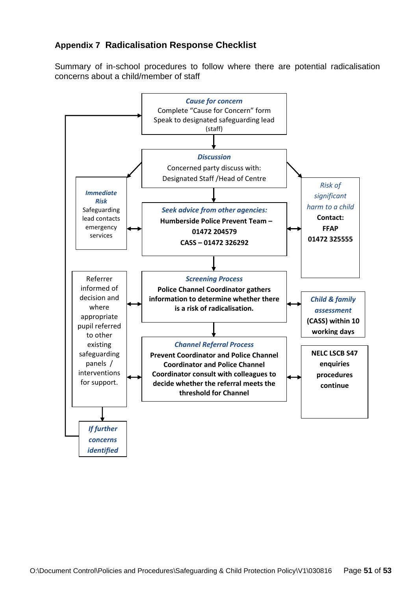# **Appendix 7 Radicalisation Response Checklist**

Summary of in-school procedures to follow where there are potential radicalisation concerns about a child/member of staff

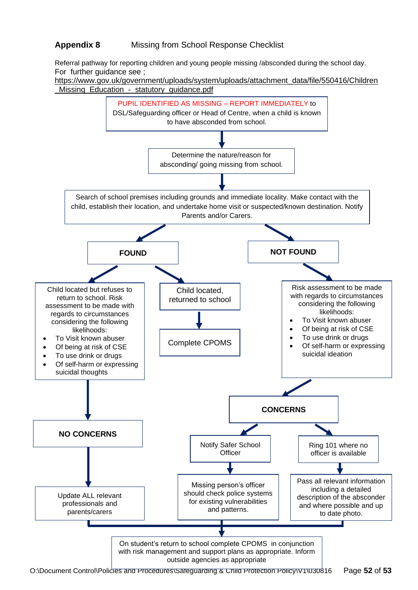# **Appendix 8** Missing from School Response Checklist

Referral pathway for reporting children and young people missing /absconded during the school day. For further guidance see ;